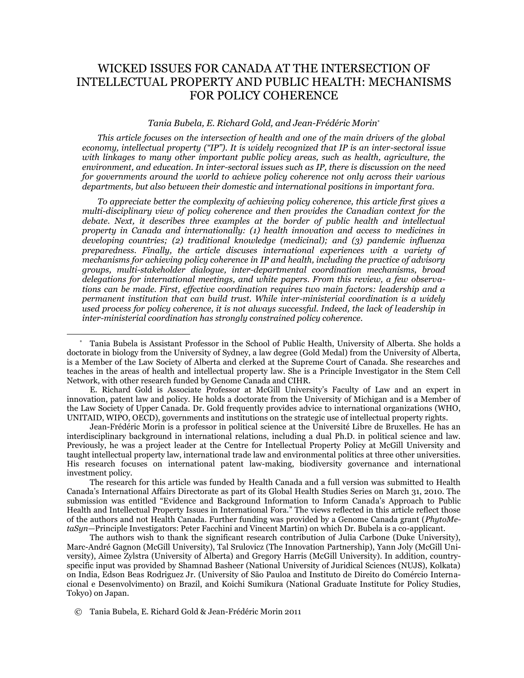# WICKED ISSUES FOR CANADA AT THE INTERSECTION OF INTELLECTUAL PROPERTY AND PUBLIC HEALTH: MECHANISMS FOR POLICY COHERENCE

#### *Tania Bubela, E. Richard Gold, and Jean-Frédéric Morin*\*

*This article focuses on the intersection of health and one of the main drivers of the global economy, intellectual property (―IP‖). It is widely recognized that IP is an inter-sectoral issue with linkages to many other important public policy areas, such as health, agriculture, the environment, and education. In inter-sectoral issues such as IP, there is discussion on the need for governments around the world to achieve policy coherence not only across their various departments, but also between their domestic and international positions in important fora.* 

*To appreciate better the complexity of achieving policy coherence, this article first gives a multi-disciplinary view of policy coherence and then provides the Canadian context for the*  debate. Next, it describes three examples at the border of public health and intellectual *property in Canada and internationally: (1) health innovation and access to medicines in developing countries; (2) traditional knowledge (medicinal); and (3) pandemic influenza preparedness. Finally, the article discuses international experiences with a variety of mechanisms for achieving policy coherence in IP and health, including the practice of advisory groups, multi-stakeholder dialogue, inter-departmental coordination mechanisms, broad delegations for international meetings, and white papers. From this review, a few observations can be made. First, effective coordination requires two main factors: leadership and a permanent institution that can build trust. While inter-ministerial coordination is a widely used process for policy coherence, it is not always successful. Indeed, the lack of leadership in inter-ministerial coordination has strongly constrained policy coherence.* 

E. Richard Gold is Associate Professor at McGill University's Faculty of Law and an expert in innovation, patent law and policy. He holds a doctorate from the University of Michigan and is a Member of the Law Society of Upper Canada. Dr. Gold frequently provides advice to international organizations (WHO, UNITAID, WIPO, OECD), governments and institutions on the strategic use of intellectual property rights.

Jean-Frédéric Morin is a professor in political science at the Université Libre de Bruxelles. He has an interdisciplinary background in international relations, including a dual Ph.D. in political science and law. Previously, he was a project leader at the Centre for Intellectual Property Policy at McGill University and taught intellectual property law, international trade law and environmental politics at three other universities. His research focuses on international patent law-making, biodiversity governance and international investment policy.

The research for this article was funded by Health Canada and a full version was submitted to Health Canada's International Affairs Directorate as part of its Global Health Studies Series on March 31, 2010. The submission was entitled "Evidence and Background Information to Inform Canada's Approach to Public Health and Intellectual Property Issues in International Fora." The views reflected in this article reflect those of the authors and not Health Canada. Further funding was provided by a Genome Canada grant (*PhytoMetaSyn—*Principle Investigators: Peter Facchini and Vincent Martin) on which Dr. Bubela is a co-applicant.

The authors wish to thank the significant research contribution of Julia Carbone (Duke University), Marc-André Gagnon (McGill University), Tal Srulovicz (The Innovation Partnership), Yann Joly (McGill University), Aimee Zylstra (University of Alberta) and Gregory Harris (McGill University). In addition, countryspecific input was provided by Shamnad Basheer (National University of Juridical Sciences (NUJS), Kolkata) on India, Edson Beas Rodriguez Jr. (University of São Pauloa and Instituto de Direito do Comércio Internacional e Desenvolvimento) on Brazil, and Koichi Sumikura (National Graduate Institute for Policy Studies, Tokyo) on Japan.

© Tania Bubela, E. Richard Gold & Jean-Frédéric Morin 2011

<sup>\*</sup> Tania Bubela is Assistant Professor in the School of Public Health, University of Alberta. She holds a doctorate in biology from the University of Sydney, a law degree (Gold Medal) from the University of Alberta, is a Member of the Law Society of Alberta and clerked at the Supreme Court of Canada. She researches and teaches in the areas of health and intellectual property law. She is a Principle Investigator in the Stem Cell Network, with other research funded by Genome Canada and CIHR.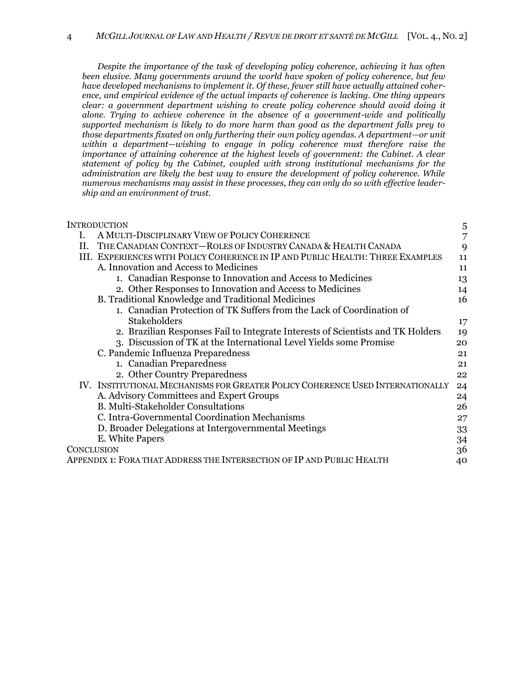*Despite the importance of the task of developing policy coherence, achieving it has often been elusive. Many governments around the world have spoken of policy coherence, but few have developed mechanisms to implement it. Of these, fewer still have actually attained coherence, and empirical evidence of the actual impacts of coherence is lacking. One thing appears clear: a government department wishing to create policy coherence should avoid doing it alone. Trying to achieve coherence in the absence of a government-wide and politically supported mechanism is likely to do more harm than good as the department falls prey to those departments fixated on only furthering their own policy agendas. A department—or unit within a department—wishing to engage in policy coherence must therefore raise the importance of attaining coherence at the highest levels of government: the Cabinet. A clear statement of policy by the Cabinet, coupled with strong institutional mechanisms for the administration are likely the best way to ensure the development of policy coherence. While numerous mechanisms may assist in these processes, they can only do so with effective leadership and an environment of trust.*

| INTRODUCTION                                                                    | 5  |
|---------------------------------------------------------------------------------|----|
| A MULTI-DISCIPLINARY VIEW OF POLICY COHERENCE<br>L.                             | 7  |
| THE CANADIAN CONTEXT-ROLES OF INDUSTRY CANADA & HEALTH CANADA<br>Н.             | 9  |
| III. EXPERIENCES WITH POLICY COHERENCE IN IP AND PUBLIC HEALTH: THREE EXAMPLES  | 11 |
| A. Innovation and Access to Medicines                                           | 11 |
| 1. Canadian Response to Innovation and Access to Medicines                      | 13 |
| 2. Other Responses to Innovation and Access to Medicines                        | 14 |
| B. Traditional Knowledge and Traditional Medicines                              | 16 |
| 1. Canadian Protection of TK Suffers from the Lack of Coordination of           |    |
| <b>Stakeholders</b>                                                             | 17 |
| 2. Brazilian Responses Fail to Integrate Interests of Scientists and TK Holders | 19 |
| 3. Discussion of TK at the International Level Yields some Promise              | 20 |
| C. Pandemic Influenza Preparedness                                              | 21 |
| 1. Canadian Preparedness                                                        | 21 |
| 2. Other Country Preparedness                                                   | 22 |
| IV. INSTITUTIONAL MECHANISMS FOR GREATER POLICY COHERENCE USED INTERNATIONALLY  | 24 |
| A. Advisory Committees and Expert Groups                                        | 24 |
| <b>B. Multi-Stakeholder Consultations</b>                                       | 26 |
| C. Intra-Governmental Coordination Mechanisms                                   | 27 |
| D. Broader Delegations at Intergovernmental Meetings                            | 33 |
| E. White Papers                                                                 | 34 |
| CONCLUSION                                                                      | 36 |
| APPENDIX 1: FORA THAT ADDRESS THE INTERSECTION OF IP AND PUBLIC HEALTH          | 40 |
|                                                                                 |    |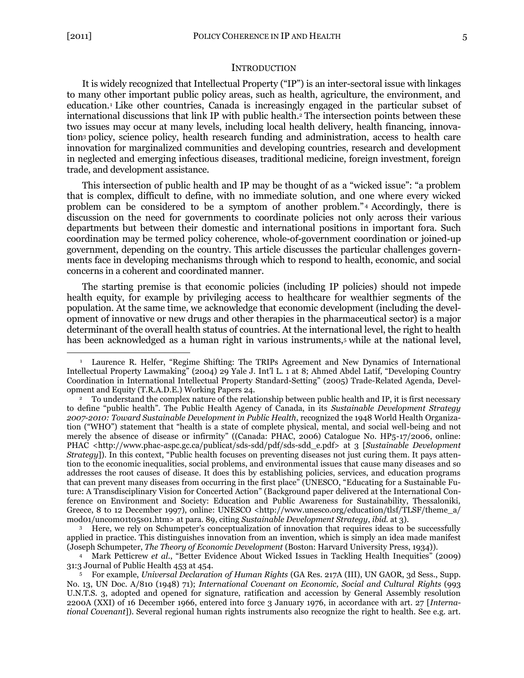$\overline{a}$ 

#### <span id="page-2-2"></span>**INTRODUCTION**

<span id="page-2-1"></span><span id="page-2-0"></span>It is widely recognized that Intellectual Property ("IP") is an inter-sectoral issue with linkages to many other important public policy areas, such as health, agriculture, the environment, and education.<sup>1</sup> Like other countries, Canada is increasingly engaged in the particular subset of international discussions that link IP with public health.<sup>2</sup> The intersection points between these two issues may occur at many levels, including local health delivery, health financing, innovation<sup>3</sup> policy, science policy, health research funding and administration, access to health care innovation for marginalized communities and developing countries, research and development in neglected and emerging infectious diseases, traditional medicine, foreign investment, foreign trade, and development assistance.

This intersection of public health and IP may be thought of as a "wicked issue": "a problem that is complex, difficult to define, with no immediate solution, and one where every wicked problem can be considered to be a symptom of another problem."<sup>4</sup> Accordingly, there is discussion on the need for governments to coordinate policies not only across their various departments but between their domestic and international positions in important fora. Such coordination may be termed policy coherence, whole-of-government coordination or joined-up government, depending on the country. This article discusses the particular challenges governments face in developing mechanisms through which to respond to health, economic, and social concerns in a coherent and coordinated manner.

The starting premise is that economic policies (including IP policies) should not impede health equity, for example by privileging access to healthcare for wealthier segments of the population. At the same time, we acknowledge that economic development (including the development of innovative or new drugs and other therapies in the pharmaceutical sector) is a major determinant of the overall health status of countries. At the international level, the right to health has been acknowledged as a human right in various instruments,<sup>5</sup> while at the national level,

<sup>3</sup> Here, we rely on Schumpeter's conceptualization of innovation that requires ideas to be successfully applied in practice. This distinguishes innovation from an invention, which is simply an idea made manifest (Joseph Schumpeter, *The Theory of Economic Development* (Boston: Harvard University Press, 1934)).

<sup>4</sup> Mark Petticrew *et al.*, "Better Evidence About Wicked Issues in Tackling Health Inequities" (2009) 31:3 Journal of Public Health 453 at 454.

<sup>5</sup> For example, *Universal Declaration of Human Rights* (GA Res. 217A (III), UN GAOR, 3d Sess., Supp. No. 13, UN Doc. A/810 (1948) 71); *International Covenant on Economic, Social and Cultural Rights* (993 U.N.T.S. 3, adopted and opened for signature, ratification and accession by General Assembly resolution 2200A (XXI) of 16 December 1966, entered into force 3 January 1976, in accordance with art. 27 [*International Covenant*]). Several regional human rights instruments also recognize the right to health. See e.g. art.

Laurence R. Helfer, "Regime Shifting: The TRIPs Agreement and New Dynamics of International Intellectual Property Lawmaking" (2004) 29 Yale J. Int'l L. 1 at 8; Ahmed Abdel Latif, "Developing Country Coordination in International Intellectual Property Standard-Setting" (2005) Trade-Related Agenda, Development and Equity (T.R.A.D.E.) Working Papers 24.

<sup>&</sup>lt;sup>2</sup> To understand the complex nature of the relationship between public health and IP, it is first necessary to define "public health". The Public Health Agency of Canada, in its *Sustainable Development Strategy 2007-2010: Toward Sustainable Development in Public Health*, recognized the 1948 World Health Organization ("WHO") statement that "health is a state of complete physical, mental, and social well-being and not merely the absence of disease or infirmity" ((Canada: PHAC, 2006) Catalogue No. HP5-17/2006, online: PHAC <http://www.phac-aspc.gc.ca/publicat/sds-sdd/pdf/sds-sdd\_e.pdf> at 3 [*Sustainable Development Strategy*]). In this context, "Public health focuses on preventing diseases not just curing them. It pays attention to the economic inequalities, social problems, and environmental issues that cause many diseases and so addresses the root causes of disease. It does this by establishing policies, services, and education programs that can prevent many diseases from occurring in the first place" (UNESCO, "Educating for a Sustainable Future: A Transdisciplinary Vision for Concerted Action" (Background paper delivered at the International Conference on Environment and Society: Education and Public Awareness for Sustainability, Thessaloniki, Greece, 8 to 12 December 1997), online: UNESCO <http://www.unesco.org/education/tlsf/TLSF/theme a/ mod01/uncom01t05s01.htm> at para. 89, citing *Sustainable Development Strategy*, *ibid.* at 3).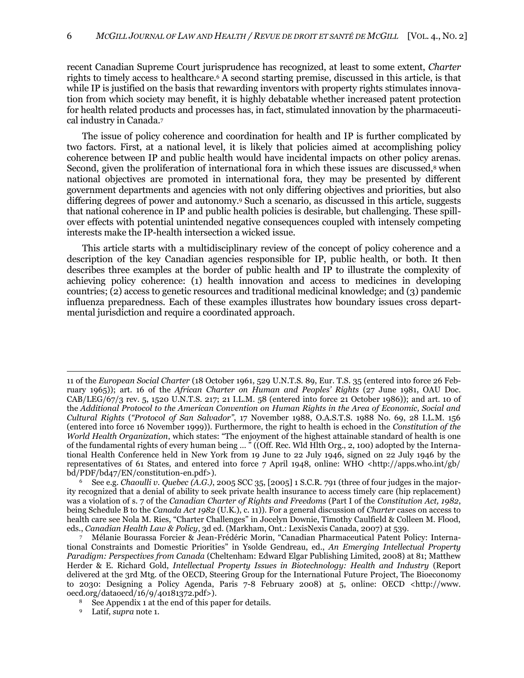recent Canadian Supreme Court jurisprudence has recognized, at least to some extent, *Charter* rights to timely access to healthcare.<sup>6</sup> A second starting premise, discussed in this article, is that while IP is justified on the basis that rewarding inventors with property rights stimulates innovation from which society may benefit, it is highly debatable whether increased patent protection for health related products and processes has, in fact, stimulated innovation by the pharmaceutical industry in Canada.<sup>7</sup>

<span id="page-3-0"></span>The issue of policy coherence and coordination for health and IP is further complicated by two factors. First, at a national level, it is likely that policies aimed at accomplishing policy coherence between IP and public health would have incidental impacts on other policy arenas. Second, given the proliferation of international fora in which these issues are discussed,<sup>8</sup> when national objectives are promoted in international fora, they may be presented by different government departments and agencies with not only differing objectives and priorities, but also differing degrees of power and autonomy.<sup>9</sup> Such a scenario, as discussed in this article, suggests that national coherence in IP and public health policies is desirable, but challenging. These spillover effects with potential unintended negative consequences coupled with intensely competing interests make the IP-health intersection a wicked issue.

This article starts with a multidisciplinary review of the concept of policy coherence and a description of the key Canadian agencies responsible for IP, public health, or both. It then describes three examples at the border of public health and IP to illustrate the complexity of achieving policy coherence: (1) health innovation and access to medicines in developing countries; (2) access to genetic resources and traditional medicinal knowledge; and (3) pandemic influenza preparedness. Each of these examples illustrates how boundary issues cross departmental jurisdiction and require a coordinated approach.

<sup>9</sup> Latif, *supra* note [1.](#page-2-1)

<sup>11</sup> of the *European Social Charter* (18 October 1961, 529 U.N.T.S. 89, Eur. T.S. 35 (entered into force 26 February 1965)); art. 16 of the *African Charter on Human and Peoples' Rights* (27 June 1981, OAU Doc. CAB/LEG/67/3 rev. 5, 1520 U.N.T.S. 217; 21 I.L.M. 58 (entered into force 21 October 1986)); and art. 10 of the *Additional Protocol to the American Convention on Human Rights in the Area of Economic, Social and Cultural Rights* ("Protocol of San Salvador", 17 November 1988, O.A.S.T.S. 1988 No. 69, 28 I.L.M. 156 (entered into force 16 November 1999)). Furthermore, the right to health is echoed in the *Constitution of the World Health Organization*, which states: "The enjoyment of the highest attainable standard of health is one of the fundamental rights of every human being ... " ((Off. Rec. Wld Hlth Org., 2, 100) adopted by the International Health Conference held in New York from 19 June to 22 July 1946, signed on 22 July 1946 by the representatives of 61 States, and entered into force 7 April 1948, online: WHO <http://apps.who.int/gb/ bd/PDF/bd47/EN/constitution-en.pdf>).

<sup>6</sup> See e.g. *Chaoulli v. Quebec (A.G.)*, 2005 SCC 35, [2005] 1 S.C.R. 791 (three of four judges in the majority recognized that a denial of ability to seek private health insurance to access timely care (hip replacement) was a violation of s. 7 of the *Canadian Charter of Rights and Freedoms* (Part I of the *Constitution Act, 1982*, being Schedule B to the *Canada Act 1982* (U.K.), c. 11)). For a general discussion of *Charter* cases on access to health care see Nola M. Ries, "Charter Challenges" in Jocelyn Downie, Timothy Caulfield & Colleen M. Flood, eds., *Canadian Health Law & Policy*, 3d ed. (Markham, Ont.: LexisNexis Canada, 2007) at 539.

Mélanie Bourassa Forcier & Jean-Frédéric Morin, "Canadian Pharmaceutical Patent Policy: International Constraints and Domestic Priorities" in Ysolde Gendreau, ed., *An Emerging Intellectual Property Paradigm: Perspectives from Canada* (Cheltenham: Edward Elgar Publishing Limited, 2008) at 81; Matthew Herder & E. Richard Gold, *Intellectual Property Issues in Biotechnology: Health and Industry* (Report delivered at the 3rd Mtg. of the OECD, Steering Group for the International Future Project, The Bioeconomy to 2030: Designing a Policy Agenda, Paris 7-8 February 2008) at 5, online: OECD <http://www. oecd.org/dataoecd/16/9/40181372.pdf>).

See Appendix 1 at the end of this paper for details.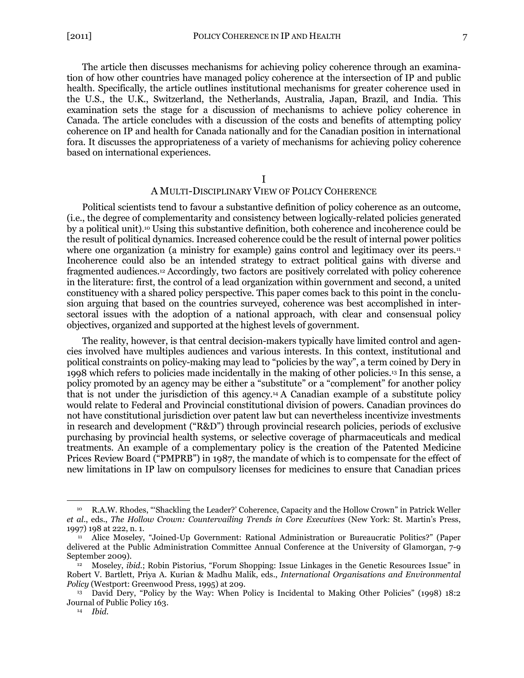The article then discusses mechanisms for achieving policy coherence through an examination of how other countries have managed policy coherence at the intersection of IP and public health. Specifically, the article outlines institutional mechanisms for greater coherence used in the U.S., the U.K., Switzerland, the Netherlands, Australia, Japan, Brazil, and India. This examination sets the stage for a discussion of mechanisms to achieve policy coherence in Canada. The article concludes with a discussion of the costs and benefits of attempting policy coherence on IP and health for Canada nationally and for the Canadian position in international fora. It discusses the appropriateness of a variety of mechanisms for achieving policy coherence based on international experiences.

<span id="page-4-2"></span>I

#### <span id="page-4-1"></span>A MULTI-DISCIPLINARY VIEW OF POLICY COHERENCE

<span id="page-4-0"></span>Political scientists tend to favour a substantive definition of policy coherence as an outcome, (i.e., the degree of complementarity and consistency between logically-related policies generated by a political unit).<sup>10</sup> Using this substantive definition, both coherence and incoherence could be the result of political dynamics. Increased coherence could be the result of internal power politics where one organization (a ministry for example) gains control and legitimacy over its peers.<sup>11</sup> Incoherence could also be an intended strategy to extract political gains with diverse and fragmented audiences.<sup>12</sup> Accordingly, two factors are positively correlated with policy coherence in the literature: first, the control of a lead organization within government and second, a united constituency with a shared policy perspective. This paper comes back to this point in the conclusion arguing that based on the countries surveyed, coherence was best accomplished in intersectoral issues with the adoption of a national approach, with clear and consensual policy objectives, organized and supported at the highest levels of government.

The reality, however, is that central decision-makers typically have limited control and agencies involved have multiples audiences and various interests. In this context, institutional and political constraints on policy-making may lead to "policies by the way", a term coined by Dery in 1998 which refers to policies made incidentally in the making of other policies.<sup>13</sup> In this sense, a policy promoted by an agency may be either a "substitute" or a "complement" for another policy that is not under the jurisdiction of this agency.<sup>14</sup> A Canadian example of a substitute policy would relate to Federal and Provincial constitutional division of powers. Canadian provinces do not have constitutional jurisdiction over patent law but can nevertheless incentivize investments in research and development ("R&D") through provincial research policies, periods of exclusive purchasing by provincial health systems, or selective coverage of pharmaceuticals and medical treatments. An example of a complementary policy is the creation of the Patented Medicine Prices Review Board ("PMPRB") in 1987, the mandate of which is to compensate for the effect of new limitations in IP law on compulsory licenses for medicines to ensure that Canadian prices

R.A.W. Rhodes, "Shackling the Leader?' Coherence, Capacity and the Hollow Crown" in Patrick Weller *et al*., eds., *The Hollow Crown: Countervailing Trends in Core Executives* (New York: St. Martin's Press, 1997) 198 at 222, n. 1.

<sup>&</sup>lt;sup>11</sup> Alice Moseley, "Joined-Up Government: Rational Administration or Bureaucratic Politics?" (Paper delivered at the Public Administration Committee Annual Conference at the University of Glamorgan, 7-9 September 2009).

<sup>12</sup> Moseley, *ibid.*; Robin Pistorius, "Forum Shopping: Issue Linkages in the Genetic Resources Issue" in Robert V. Bartlett, Priya A. Kurian & Madhu Malik, eds., *International Organisations and Environmental Policy* (Westport: Greenwood Press, 1995) at 209.

<sup>&</sup>lt;sup>13</sup> David Dery, "Policy by the Way: When Policy is Incidental to Making Other Policies" (1998) 18:2 Journal of Public Policy 163.

<sup>14</sup> *Ibid*.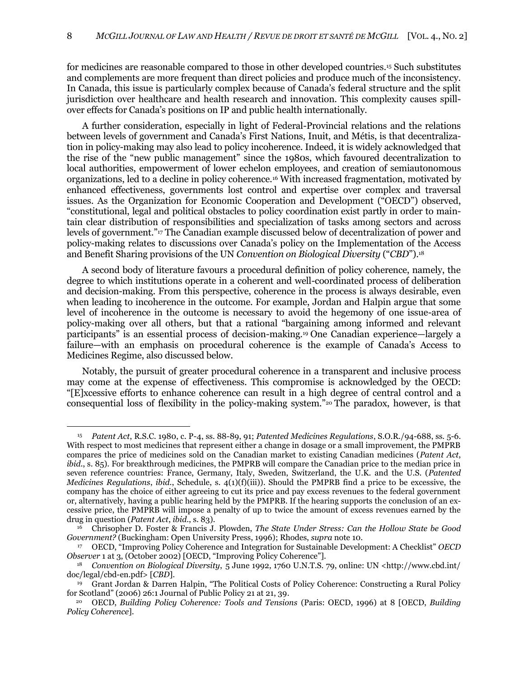<span id="page-5-0"></span>for medicines are reasonable compared to those in other developed countries. <sup>15</sup> Such substitutes and complements are more frequent than direct policies and produce much of the inconsistency. In Canada, this issue is particularly complex because of Canada's federal structure and the split jurisdiction over healthcare and health research and innovation. This complexity causes spillover effects for Canada's positions on IP and public health internationally.

A further consideration, especially in light of Federal-Provincial relations and the relations between levels of government and Canada's First Nations, Inuit, and Métis, is that decentralization in policy-making may also lead to policy incoherence. Indeed, it is widely acknowledged that the rise of the "new public management" since the 1980s, which favoured decentralization to local authorities, empowerment of lower echelon employees, and creation of semiautonomous organizations, led to a decline in policy coherence.<sup>16</sup> With increased fragmentation, motivated by enhanced effectiveness, governments lost control and expertise over complex and traversal issues. As the Organization for Economic Cooperation and Development ("OECD") observed, ―constitutional, legal and political obstacles to policy coordination exist partly in order to maintain clear distribution of responsibilities and specialization of tasks among sectors and across levels of government."<sup>17</sup> The Canadian example discussed below of decentralization of power and policy-making relates to discussions over Canada's policy on the Implementation of the Access and Benefit Sharing provisions of the UN *Convention on Biological Diversity* ("CBD").<sup>18</sup>

<span id="page-5-2"></span><span id="page-5-1"></span>A second body of literature favours a procedural definition of policy coherence, namely, the degree to which institutions operate in a coherent and well-coordinated process of deliberation and decision-making. From this perspective, coherence in the process is always desirable, even when leading to incoherence in the outcome. For example, Jordan and Halpin argue that some level of incoherence in the outcome is necessary to avoid the hegemony of one issue-area of policy-making over all others, but that a rational "bargaining among informed and relevant participants" is an essential process of decision-making.<sup>19</sup> One Canadian experience—largely a failure—with an emphasis on procedural coherence is the example of Canada's Access to Medicines Regime, also discussed below.

<span id="page-5-3"></span>Notably, the pursuit of greater procedural coherence in a transparent and inclusive process may come at the expense of effectiveness. This compromise is acknowledged by the OECD: ―[E]xcessive efforts to enhance coherence can result in a high degree of central control and a consequential loss of flexibility in the policy-making system."20 The paradox, however, is that

<sup>15</sup> *Patent Act*, R.S.C. 1980, c. P-4, ss. 88-89, 91; *Patented Medicines Regulations*, S.O.R./94-688, ss. 5-6. With respect to most medicines that represent either a change in dosage or a small improvement, the PMPRB compares the price of medicines sold on the Canadian market to existing Canadian medicines (*Patent Act*, *ibid.*, s. 85). For breakthrough medicines, the PMPRB will compare the Canadian price to the median price in seven reference countries: France, Germany, Italy, Sweden, Switzerland, the U.K. and the U.S. (*Patented Medicines Regulations*, *ibid.*, Schedule, s. 4(1)(f)(iii)). Should the PMPRB find a price to be excessive, the company has the choice of either agreeing to cut its price and pay excess revenues to the federal government or, alternatively, having a public hearing held by the PMPRB. If the hearing supports the conclusion of an excessive price, the PMPRB will impose a penalty of up to twice the amount of excess revenues earned by the drug in question (*Patent Act*, *ibid.*, s. 83).

<sup>16</sup> Chrisopher D. Foster & Francis J. Plowden, *The State Under Stress: Can the Hollow State be Good Government?* (Buckingham: Open University Press, 1996); Rhodes, *supra* not[e 10.](#page-4-1)

<sup>&</sup>lt;sup>17</sup> OECD, "Improving Policy Coherence and Integration for Sustainable Development: A Checklist" *OECD Observer* 1 at 3, (October 2002) [OECD, "Improving Policy Coherence"].

<sup>18</sup> *Convention on Biological Diversity*, 5 June 1992, 1760 U.N.T.S. 79, online: UN <http://www.cbd.int/ doc/legal/cbd-en.pdf> [*CBD*].

<sup>&</sup>lt;sup>19</sup> Grant Jordan & Darren Halpin, "The Political Costs of Policy Coherence: Constructing a Rural Policy for Scotland" (2006) 26:1 Journal of Public Policy 21 at 21, 39.

<sup>20</sup> OECD, *Building Policy Coherence: Tools and Tensions* (Paris: OECD, 1996) at 8 [OECD, *Building Policy Coherence*].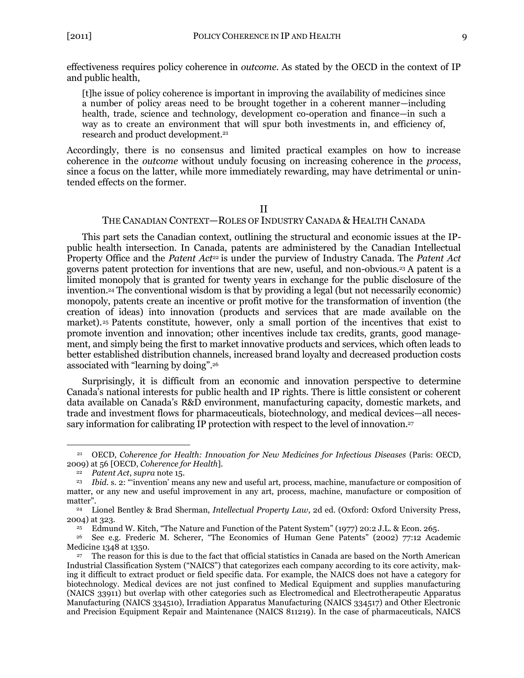effectiveness requires policy coherence in *outcome*. As stated by the OECD in the context of IP and public health,

[t]he issue of policy coherence is important in improving the availability of medicines since a number of policy areas need to be brought together in a coherent manner—including health, trade, science and technology, development co-operation and finance—in such a way as to create an environment that will spur both investments in, and efficiency of, research and product development.<sup>21</sup>

Accordingly, there is no consensus and limited practical examples on how to increase coherence in the *outcome* without unduly focusing on increasing coherence in the *process*, since a focus on the latter, while more immediately rewarding, may have detrimental or unintended effects on the former.

### <span id="page-6-1"></span>II

### THE CANADIAN CONTEXT—ROLES OF INDUSTRY CANADA & HEALTH CANADA

<span id="page-6-0"></span>This part sets the Canadian context, outlining the structural and economic issues at the IPpublic health intersection. In Canada, patents are administered by the Canadian Intellectual Property Office and the *Patent Act<sup>22</sup>* is under the purview of Industry Canada. The *Patent Act* governs patent protection for inventions that are new, useful, and non-obvious.<sup>23</sup> A patent is a limited monopoly that is granted for twenty years in exchange for the public disclosure of the invention.<sup>24</sup> The conventional wisdom is that by providing a legal (but not necessarily economic) monopoly, patents create an incentive or profit motive for the transformation of invention (the creation of ideas) into innovation (products and services that are made available on the market).<sup>25</sup> Patents constitute, however, only a small portion of the incentives that exist to promote invention and innovation; other incentives include tax credits, grants, good management, and simply being the first to market innovative products and services, which often leads to better established distribution channels, increased brand loyalty and decreased production costs associated with "learning by doing".<sup>26</sup>

Surprisingly, it is difficult from an economic and innovation perspective to determine Canada's national interests for public health and IP rights. There is little consistent or coherent data available on Canada's R&D environment, manufacturing capacity, domestic markets, and trade and investment flows for pharmaceuticals, biotechnology, and medical devices—all necessary information for calibrating IP protection with respect to the level of innovation.<sup>27</sup>

<sup>21</sup> OECD, *Coherence for Health: Innovation for New Medicines for Infectious Diseases* (Paris: OECD, 2009) at 56 [OECD, *Coherence for Health*].

<sup>22</sup> *Patent Act*, *supra* not[e 15.](#page-5-0)

<sup>&</sup>lt;sup>23</sup> *Ibid.* s. 2: "invention' means any new and useful art, process, machine, manufacture or composition of matter, or any new and useful improvement in any art, process, machine, manufacture or composition of matter".

<sup>24</sup> Lionel Bentley & Brad Sherman, *Intellectual Property Law*, 2d ed. (Oxford: Oxford University Press, 2004) at 323.

<sup>&</sup>lt;sup>25</sup> Edmund W. Kitch, "The Nature and Function of the Patent System" (1977) 20:2 J.L. & Econ. 265.

See e.g. Frederic M. Scherer, "The Economics of Human Gene Patents" (2002) 77:12 Academic Medicine 1348 at 1350.

<sup>27</sup> The reason for this is due to the fact that official statistics in Canada are based on the North American Industrial Classification System ("NAICS") that categorizes each company according to its core activity, making it difficult to extract product or field specific data. For example, the NAICS does not have a category for biotechnology. Medical devices are not just confined to Medical Equipment and supplies manufacturing (NAICS 33911) but overlap with other categories such as Electromedical and Electrotherapeutic Apparatus Manufacturing (NAICS 334510), Irradiation Apparatus Manufacturing (NAICS 334517) and Other Electronic and Precision Equipment Repair and Maintenance (NAICS 811219). In the case of pharmaceuticals, NAICS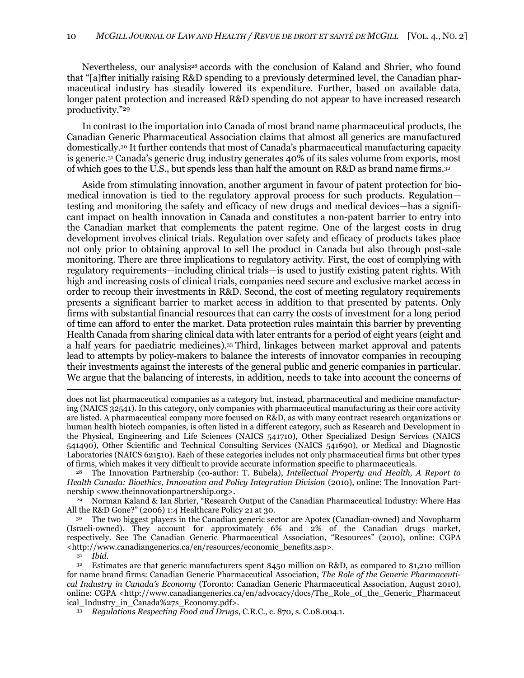Nevertheless, our analysis<sup>28</sup> accords with the conclusion of Kaland and Shrier, who found that "[a]fter initially raising R&D spending to a previously determined level, the Canadian pharmaceutical industry has steadily lowered its expenditure. Further, based on available data, longer patent protection and increased R&D spending do not appear to have increased research productivity."29

In contrast to the importation into Canada of most brand name pharmaceutical products, the Canadian Generic Pharmaceutical Association claims that almost all generics are manufactured domestically.<sup>30</sup> It further contends that most of Canada's pharmaceutical manufacturing capacity is generic.<sup>31</sup> Canada's generic drug industry generates 40% of its sales volume from exports, most of which goes to the U.S., but spends less than half the amount on R&D as brand name firms.<sup>32</sup>

Aside from stimulating innovation, another argument in favour of patent protection for biomedical innovation is tied to the regulatory approval process for such products. Regulation testing and monitoring the safety and efficacy of new drugs and medical devices—has a significant impact on health innovation in Canada and constitutes a non-patent barrier to entry into the Canadian market that complements the patent regime. One of the largest costs in drug development involves clinical trials. Regulation over safety and efficacy of products takes place not only prior to obtaining approval to sell the product in Canada but also through post-sale monitoring. There are three implications to regulatory activity. First, the cost of complying with regulatory requirements—including clinical trials—is used to justify existing patent rights. With high and increasing costs of clinical trials, companies need secure and exclusive market access in order to recoup their investments in R&D. Second, the cost of meeting regulatory requirements presents a significant barrier to market access in addition to that presented by patents. Only firms with substantial financial resources that can carry the costs of investment for a long period of time can afford to enter the market. Data protection rules maintain this barrier by preventing Health Canada from sharing clinical data with later entrants for a period of eight years (eight and a half years for paediatric medicines).<sup>33</sup> Third, linkages between market approval and patents lead to attempts by policy-makers to balance the interests of innovator companies in recouping their investments against the interests of the general public and generic companies in particular. We argue that the balancing of interests, in addition, needs to take into account the concerns of

<sup>31</sup> *Ibid*.

does not list pharmaceutical companies as a category but, instead, pharmaceutical and medicine manufacturing (NAICS 32541). In this category, only companies with pharmaceutical manufacturing as their core activity are listed. A pharmaceutical company more focused on R&D, as with many contract research organizations or human health biotech companies, is often listed in a different category, such as Research and Development in the Physical, Engineering and Life Sciences (NAICS 541710), Other Specialized Design Services (NAICS 541490), Other Scientific and Technical Consulting Services (NAICS 541690), or Medical and Diagnostic Laboratories (NAICS 621510). Each of these categories includes not only pharmaceutical firms but other types of firms, which makes it very difficult to provide accurate information specific to pharmaceuticals.

<sup>28</sup> The Innovation Partnership (co-author: T. Bubela), *Intellectual Property and Health, A Report to Health Canada: Bioethics, Innovation and Policy Integration Division* (2010), online: The Innovation Partnership <www.theinnovationpartnership.org>.

<sup>&</sup>lt;sup>29</sup> Norman Kaland & Ian Shrier, "Research Output of the Canadian Pharmaceutical Industry: Where Has All the R&D Gone?" (2006) 1:4 Healthcare Policy 21 at 30.

<sup>30</sup> The two biggest players in the Canadian generic sector are Apotex (Canadian-owned) and Novopharm (Israeli-owned). They account for approximately 6% and 2% of the Canadian drugs market, respectively. See The Canadian Generic Pharmaceutical Association, "Resources" (2010), online: CGPA <http://www.canadiangenerics.ca/en/resources/economic\_benefits.asp>.

<sup>32</sup> Estimates are that generic manufacturers spent \$450 million on R&D, as compared to \$1,210 million for name brand firms: Canadian Generic Pharmaceutical Association, *The Role of the Generic Pharmaceutical Industry in Canada's Economy* (Toronto: Canadian Generic Pharmaceutical Association, August 2010), online: CGPA <http://www.canadiangenerics.ca/en/advocacy/docs/The\_Role\_of\_the\_Generic\_Pharmaceut ical\_Industry\_in\_Canada%27s\_Economy.pdf>.

<sup>33</sup> *Regulations Respecting Food and Drugs*, C.R.C., c. 870, s. C.08.004.1.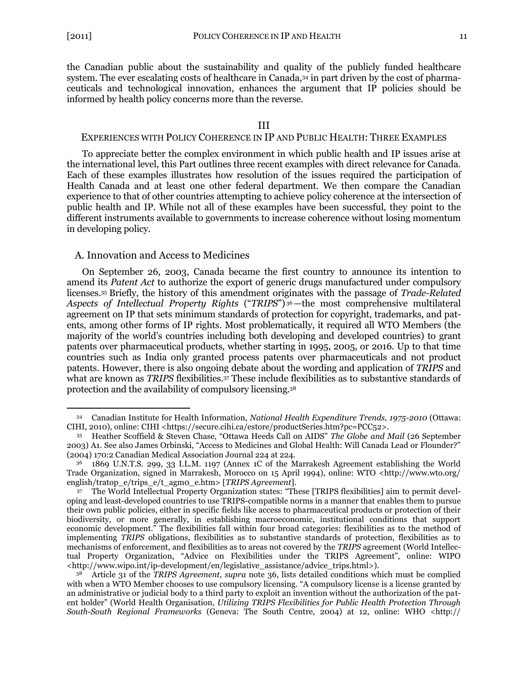$\overline{a}$ 

the Canadian public about the sustainability and quality of the publicly funded healthcare system. The ever escalating costs of healthcare in Canada,<sup>34</sup> in part driven by the cost of pharmaceuticals and technological innovation, enhances the argument that IP policies should be informed by health policy concerns more than the reverse.

### <span id="page-8-2"></span>III

## <span id="page-8-0"></span>EXPERIENCES WITH POLICY COHERENCE IN IP AND PUBLIC HEALTH: THREE EXAMPLES

To appreciate better the complex environment in which public health and IP issues arise at the international level, this Part outlines three recent examples with direct relevance for Canada. Each of these examples illustrates how resolution of the issues required the participation of Health Canada and at least one other federal department. We then compare the Canadian experience to that of other countries attempting to achieve policy coherence at the intersection of public health and IP. While not all of these examples have been successful, they point to the different instruments available to governments to increase coherence without losing momentum in developing policy.

#### <span id="page-8-1"></span>A. Innovation and Access to Medicines

On September 26, 2003, Canada became the first country to announce its intention to amend its *Patent Act* to authorize the export of generic drugs manufactured under compulsory licenses.<sup>35</sup> Briefly, the history of this amendment originates with the passage of *Trade-Related*  Aspects of Intellectual Property Rights ("TRIPS")<sup>36</sup>—the most comprehensive multilateral agreement on IP that sets minimum standards of protection for copyright, trademarks, and patents, among other forms of IP rights. Most problematically, it required all WTO Members (the majority of the world's countries including both developing and developed countries) to grant patents over pharmaceutical products, whether starting in 1995, 2005, or 2016. Up to that time countries such as India only granted process patents over pharmaceuticals and not product patents. However, there is also ongoing debate about the wording and application of *TRIPS* and what are known as *TRIPS* flexibilities.<sup>37</sup> These include flexibilities as to substantive standards of protection and the availability of compulsory licensing.<sup>38</sup>

<sup>34</sup> Canadian Institute for Health Information, *National Health Expenditure Trends, 1975-2010* (Ottawa: CIHI, 2010), online: CIHI <https://secure.cihi.ca/estore/productSeries.htm?pc=PCC52>.

<sup>&</sup>lt;sup>35</sup> Heather Scoffield & Steven Chase, "Ottawa Heeds Call on AIDS" *The Globe and Mail* (26 September 2003) A1. See also James Orbinski, "Access to Medicines and Global Health: Will Canada Lead or Flounder?" (2004) 170:2 Canadian Medical Association Journal 224 at 224.

<sup>36</sup> 1869 U.N.T.S. 299, 33 I.L.M. 1197 (Annex 1C of the Marrakesh Agreement establishing the World Trade Organization, signed in Marrakesh, Morocco on 15 April 1994), online: WTO <http://www.wto.org/ english/tratop\_e/trips\_e/t\_agm0\_e.htm> [*TRIPS Agreement*].

<sup>37</sup> The World Intellectual Property Organization states: "These [TRIPS flexibilities] aim to permit developing and least-developed countries to use TRIPS-compatible norms in a manner that enables them to pursue their own public policies, either in specific fields like access to pharmaceutical products or protection of their biodiversity, or more generally, in establishing macroeconomic, institutional conditions that support economic development.‖ The flexibilities fall within four broad categories: flexibilities as to the method of implementing *TRIPS* obligations, flexibilities as to substantive standards of protection, flexibilities as to mechanisms of enforcement, and flexibilities as to areas not covered by the *TRIPS* agreement (World Intellectual Property Organization, "Advice on Flexibilities under the TRIPS Agreement", online: WIPO <http://www.wipo.int/ip-development/en/legislative\_assistance/advice\_trips.html>).

<sup>38</sup> Article 31 of the *TRIPS Agreement*, *supra* note [36,](#page-8-2) lists detailed conditions which must be complied with when a WTO Member chooses to use compulsory licensing. "A compulsory license is a license granted by an administrative or judicial body to a third party to exploit an invention without the authorization of the patent holder‖ (World Health Organisation, *Utilizing TRIPS Flexibilities for Public Health Protection Through South-South Regional Frameworks* (Geneva: The South Centre, 2004) at 12, online: WHO <http://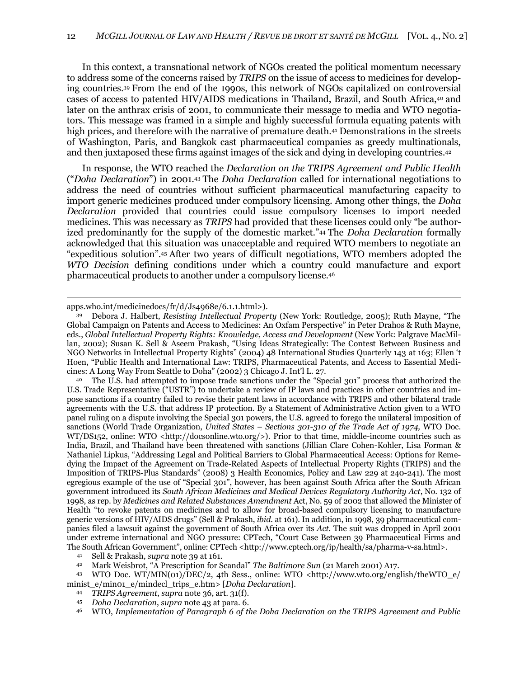<span id="page-9-0"></span>In this context, a transnational network of NGOs created the political momentum necessary to address some of the concerns raised by *TRIPS* on the issue of access to medicines for developing countries.<sup>39</sup> From the end of the 1990s, this network of NGOs capitalized on controversial cases of access to patented HIV/AIDS medications in Thailand, Brazil, and South Africa,<sup>40</sup> and later on the anthrax crisis of 2001, to communicate their message to media and WTO negotiators. This message was framed in a simple and highly successful formula equating patents with high prices, and therefore with the narrative of premature death.<sup>41</sup> Demonstrations in the streets of Washington, Paris, and Bangkok cast pharmaceutical companies as greedy multinationals, and then juxtaposed these firms against images of the sick and dying in developing countries.<sup>42</sup>

<span id="page-9-1"></span>In response, the WTO reached the *Declaration on the TRIPS Agreement and Public Health* (―*Doha Declaration*‖) in 2001.<sup>43</sup> The *Doha Declaration* called for international negotiations to address the need of countries without sufficient pharmaceutical manufacturing capacity to import generic medicines produced under compulsory licensing. Among other things, the *Doha Declaration* provided that countries could issue compulsory licenses to import needed medicines. This was necessary as *TRIPS* had provided that these licenses could only "be authorized predominantly for the supply of the domestic market.<sup>"44</sup> The *Doha Declaration* formally acknowledged that this situation was unacceptable and required WTO members to negotiate an ―expeditious solution‖.<sup>45</sup> After two years of difficult negotiations, WTO members adopted the *WTO Decision* defining conditions under which a country could manufacture and export pharmaceutical products to another under a compulsory license.<sup>46</sup>

 $\overline{a}$ 

<sup>40</sup> The U.S. had attempted to impose trade sanctions under the "Special 301" process that authorized the U.S. Trade Representative ("USTR") to undertake a review of IP laws and practices in other countries and impose sanctions if a country failed to revise their patent laws in accordance with TRIPS and other bilateral trade agreements with the U.S. that address IP protection. By a Statement of Administrative Action given to a WTO panel ruling on a dispute involving the Special 301 powers, the U.S. agreed to forego the unilateral imposition of sanctions (World Trade Organization, *United States – Sections 301-310 of the Trade Act of 1974,* WTO Doc. WT/DS152, online: WTO <http://docsonline.wto.org/>). Prior to that time, middle-income countries such as India, Brazil, and Thailand have been threatened with sanctions (Jillian Clare Cohen-Kohler, Lisa Forman & Nathaniel Lipkus, "Addressing Legal and Political Barriers to Global Pharmaceutical Access: Options for Remedying the Impact of the Agreement on Trade-Related Aspects of Intellectual Property Rights (TRIPS) and the Imposition of TRIPS-Plus Standards‖ (2008) 3 Health Economics, Policy and Law 229 at 240-241). The most egregious example of the use of "Special 301", however, has been against South Africa after the South African government introduced its *South African Medicines and Medical Devices Regulatory Authority Act*, No. 132 of 1998, as rep. by *Medicines and Related Substances Amendment* Act, No. 59 of 2002 that allowed the Minister of Health "to revoke patents on medicines and to allow for broad-based compulsory licensing to manufacture generic versions of HIV/AIDS drugs‖ (Sell & Prakash, *ibid.* at 161). In addition, in 1998, 39 pharmaceutical companies filed a lawsuit against the government of South Africa over its *Act*. The suit was dropped in April 2001 under extreme international and NGO pressure: CPTech, "Court Case Between 39 Pharmaceutical Firms and The South African Government", online: CPTech <http://www.cptech.org/ip/health/sa/pharma-v-sa.html>.

<sup>45</sup> *Doha Declaration*, *supra* note [43](#page-9-1) at para. 6.

apps.who.int/medicinedocs/fr/d/Js4968e/6.1.1.html>).

Debora J. Halbert, *Resisting Intellectual Property* (New York: Routledge, 2005); Ruth Mayne, "The Global Campaign on Patents and Access to Medicines: An Oxfam Perspective" in Peter Drahos & Ruth Mayne, eds., *Global Intellectual Property Rights: Knowledge, Access and Development* (New York: Palgrave MacMillan, 2002); Susan K. Sell & Aseem Prakash, "Using Ideas Strategically: The Contest Between Business and NGO Networks in Intellectual Property Rights" (2004) 48 International Studies Quarterly 143 at 163; Ellen 't Hoen, "Public Health and International Law: TRIPS, Pharmaceutical Patents, and Access to Essential Medicines: A Long Way From Seattle to Doha" (2002) 3 Chicago J. Int'l L. 27.

<sup>41</sup> Sell & Prakash, *supra* note [39](#page-9-0) at 161.

<sup>42</sup> Mark Weisbrot, "A Prescription for Scandal" The Baltimore Sun (21 March 2001) A17.

<sup>43</sup> WTO Doc. WT/MIN(01)/DEC/2, 4th Sess., online: WTO <http://www.wto.org/english/theWTO\_e/ minist\_e/min01\_e/mindecl\_trips\_e.htm> [*Doha Declaration*].

<sup>44</sup> *TRIPS Agreement*, *supra* note [36,](#page-8-2) art. 31(f).

<sup>46</sup> WTO, *Implementation of Paragraph 6 of the Doha Declaration on the TRIPS Agreement and Public*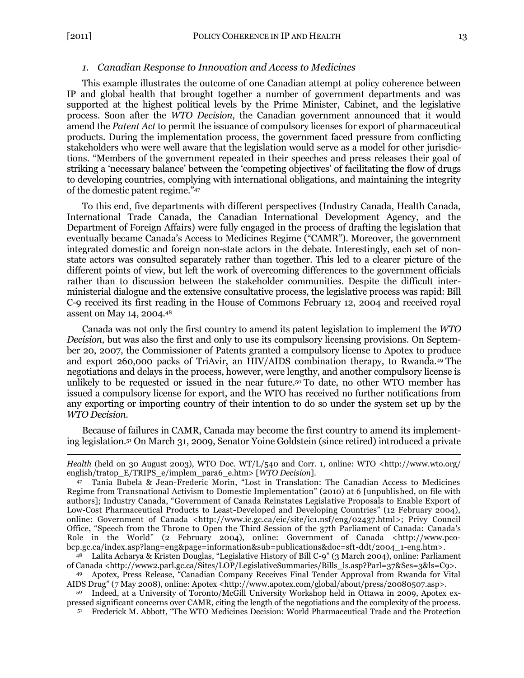$\overline{a}$ 

### <span id="page-10-0"></span>*1. Canadian Response to Innovation and Access to Medicines*

This example illustrates the outcome of one Canadian attempt at policy coherence between IP and global health that brought together a number of government departments and was supported at the highest political levels by the Prime Minister, Cabinet, and the legislative process. Soon after the *WTO Decision*, the Canadian government announced that it would amend the *Patent Act* to permit the issuance of compulsory licenses for export of pharmaceutical products. During the implementation process, the government faced pressure from conflicting stakeholders who were well aware that the legislation would serve as a model for other jurisdictions. "Members of the government repeated in their speeches and press releases their goal of striking a 'necessary balance' between the 'competing objectives' of facilitating the flow of drugs to developing countries, complying with international obligations, and maintaining the integrity of the domestic patent regime."47

To this end, five departments with different perspectives (Industry Canada, Health Canada, International Trade Canada, the Canadian International Development Agency, and the Department of Foreign Affairs) were fully engaged in the process of drafting the legislation that eventually became Canada's Access to Medicines Regime ("CAMR"). Moreover, the government integrated domestic and foreign non-state actors in the debate. Interestingly, each set of nonstate actors was consulted separately rather than together. This led to a clearer picture of the different points of view, but left the work of overcoming differences to the government officials rather than to discussion between the stakeholder communities. Despite the difficult interministerial dialogue and the extensive consultative process, the legislative process was rapid: Bill C-9 received its first reading in the House of Commons February 12, 2004 and received royal assent on May 14, 2004.<sup>48</sup>

Canada was not only the first country to amend its patent legislation to implement the *WTO Decision*, but was also the first and only to use its compulsory licensing provisions. On September 20, 2007, the Commissioner of Patents granted a compulsory license to Apotex to produce and export 260,000 packs of TriAvir, an HIV/AIDS combination therapy, to Rwanda.<sup>49</sup> The negotiations and delays in the process, however, were lengthy, and another compulsory license is unlikely to be requested or issued in the near future.<sup>50</sup> To date, no other WTO member has issued a compulsory license for export, and the WTO has received no further notifications from any exporting or importing country of their intention to do so under the system set up by the *WTO Decision*.

Because of failures in CAMR, Canada may become the first country to amend its implementing legislation.<sup>51</sup> On March 31, 2009, Senator Yoine Goldstein (since retired) introduced a private

48 Lalita Acharya & Kristen Douglas, "Legislative History of Bill C-9" (3 March 2004), online: Parliament of Canada <http://www2.parl.gc.ca/Sites/LOP/LegislativeSummaries/Bills\_ls.asp?Parl=37&Ses=3&ls=C9>.

Apotex, Press Release, "Canadian Company Receives Final Tender Approval from Rwanda for Vital AIDS Drug" (7 May 2008), online: Apotex <http://www.apotex.com/global/about/press/20080507.asp>.

<sup>50</sup> Indeed, at a University of Toronto/McGill University Workshop held in Ottawa in 2009, Apotex expressed significant concerns over CAMR, citing the length of the negotiations and the complexity of the process.

51 Frederick M. Abbott, "The WTO Medicines Decision: World Pharmaceutical Trade and the Protection

*Health* (held on 30 August 2003), WTO Doc. WT/L/540 and Corr. 1, online: WTO <http://www.wto.org/ english/tratop\_E/TRIPS\_e/implem\_para6\_e.htm> [*WTO Decision*].

<sup>47</sup> Tania Bubela & Jean-Frederic Morin, "Lost in Translation: The Canadian Access to Medicines Regime from Transnational Activism to Domestic Implementation" (2010) at 6 [unpublished, on file with authors]; Industry Canada, ―Government of Canada Reinstates Legislative Proposals to Enable Export of Low-Cost Pharmaceutical Products to Least-Developed and Developing Countries" (12 February 2004), online: Government of Canada <http://www.ic.gc.ca/eic/site/ic1.nsf/eng/02437.html>; Privy Council Office, "Speech from the Throne to Open the Third Session of the 37th Parliament of Canada: Canada's Role in the World" (2 February 2004), online: Government of Canada <http://www.pcobcp.gc.ca/index.asp?lang=eng&page=information&sub=publications&doc=sft-ddt/2004\_1-eng.htm>.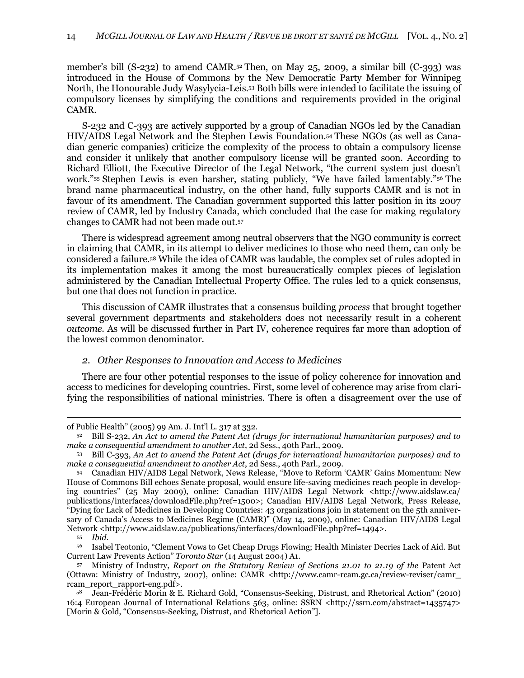member's bill (S-232) to amend CAMR.<sup>52</sup> Then, on May 25, 2009, a similar bill (C-393) was introduced in the House of Commons by the New Democratic Party Member for Winnipeg North, the Honourable Judy Wasylycia-Leis.<sup>53</sup> Both bills were intended to facilitate the issuing of compulsory licenses by simplifying the conditions and requirements provided in the original CAMR.

S-232 and C-393 are actively supported by a group of Canadian NGOs led by the Canadian HIV/AIDS Legal Network and the Stephen Lewis Foundation.<sup>54</sup> These NGOs (as well as Canadian generic companies) criticize the complexity of the process to obtain a compulsory license and consider it unlikely that another compulsory license will be granted soon. According to Richard Elliott, the Executive Director of the Legal Network, "the current system just doesn't work."<sup>55</sup> Stephen Lewis is even harsher, stating publicly, "We have failed lamentably."<sup>56</sup> The brand name pharmaceutical industry, on the other hand, fully supports CAMR and is not in favour of its amendment. The Canadian government supported this latter position in its 2007 review of CAMR, led by Industry Canada, which concluded that the case for making regulatory changes to CAMR had not been made out.<sup>57</sup>

<span id="page-11-1"></span>There is widespread agreement among neutral observers that the NGO community is correct in claiming that CAMR, in its attempt to deliver medicines to those who need them, can only be considered a failure.<sup>58</sup> While the idea of CAMR was laudable, the complex set of rules adopted in its implementation makes it among the most bureaucratically complex pieces of legislation administered by the Canadian Intellectual Property Office. The rules led to a quick consensus, but one that does not function in practice.

This discussion of CAMR illustrates that a consensus building *process* that brought together several government departments and stakeholders does not necessarily result in a coherent *outcome*. As will be discussed further in Part IV, coherence requires far more than adoption of the lowest common denominator.

### <span id="page-11-0"></span>*2. Other Responses to Innovation and Access to Medicines*

There are four other potential responses to the issue of policy coherence for innovation and access to medicines for developing countries. First, some level of coherence may arise from clarifying the responsibilities of national ministries. There is often a disagreement over the use of

of Public Health‖ (2005) 99 Am. J. Int'l L. 317 at 332.

<sup>52</sup> Bill S-232, *An Act to amend the Patent Act (drugs for international humanitarian purposes) and to make a consequential amendment to another Act*, 2d Sess., 40th Parl., 2009.

<sup>53</sup> Bill C-393, *An Act to amend the Patent Act (drugs for international humanitarian purposes) and to make a consequential amendment to another Act*, 2d Sess., 40th Parl., 2009.

<sup>54</sup> Canadian HIV/AIDS Legal Network, News Release, "Move to Reform 'CAMR' Gains Momentum: New House of Commons Bill echoes Senate proposal, would ensure life-saving medicines reach people in developing countries‖ (25 May 2009), online: Canadian HIV/AIDS Legal Network <http://www.aidslaw.ca/ publications/interfaces/downloadFile.php?ref=1500>; Canadian HIV/AIDS Legal Network, Press Release, "Dying for Lack of Medicines in Developing Countries: 43 organizations join in statement on the 5th anniversary of Canada's Access to Medicines Regime (CAMR)" (May 14, 2009), online: Canadian HIV/AIDS Legal Network <http://www.aidslaw.ca/publications/interfaces/downloadFile.php?ref=1494>.

<sup>55</sup> *Ibid*.

Isabel Teotonio, "Clement Vows to Get Cheap Drugs Flowing; Health Minister Decries Lack of Aid. But Current Law Prevents Action‖ *Toronto Star* (14 August 2004) A1.

<sup>57</sup> Ministry of Industry, *Report on the Statutory Review of Sections 21.01 to 21.19 of the* Patent Act (Ottawa: Ministry of Industry, 2007), online: CAMR <http://www.camr-rcam.gc.ca/review-reviser/camr\_ rcam\_report\_rapport-eng.pdf>.

<sup>58</sup> Jean-Frédéric Morin & E. Richard Gold, "Consensus-Seeking, Distrust, and Rhetorical Action" (2010) 16:4 European Journal of International Relations 563, online: SSRN <http://ssrn.com/abstract=1435747> [Morin & Gold, "Consensus-Seeking, Distrust, and Rhetorical Action"].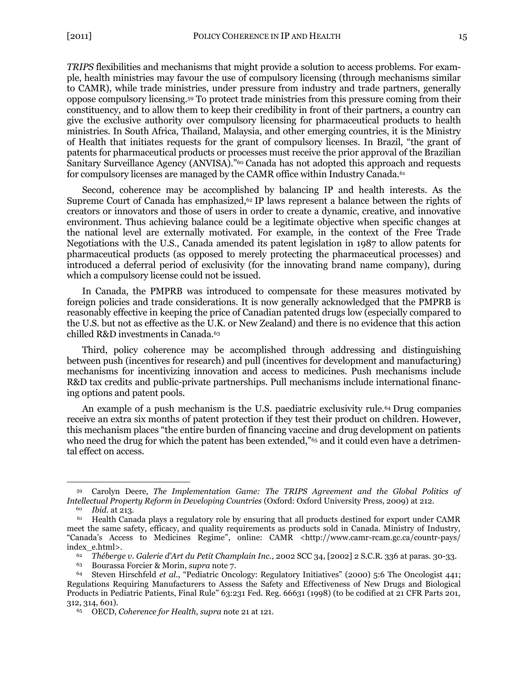<span id="page-12-0"></span>*TRIPS* flexibilities and mechanisms that might provide a solution to access problems. For example, health ministries may favour the use of compulsory licensing (through mechanisms similar to CAMR), while trade ministries, under pressure from industry and trade partners, generally oppose compulsory licensing.<sup>59</sup> To protect trade ministries from this pressure coming from their constituency, and to allow them to keep their credibility in front of their partners, a country can give the exclusive authority over compulsory licensing for pharmaceutical products to health ministries. In South Africa, Thailand, Malaysia, and other emerging countries, it is the Ministry of Health that initiates requests for the grant of compulsory licenses. In Brazil, "the grant of patents for pharmaceutical products or processes must receive the prior approval of the Brazilian Sanitary Surveillance Agency (ANVISA)."<sup>60</sup> Canada has not adopted this approach and requests for compulsory licenses are managed by the CAMR office within Industry Canada.<sup>61</sup>

Second, coherence may be accomplished by balancing IP and health interests. As the Supreme Court of Canada has emphasized, $62$  IP laws represent a balance between the rights of creators or innovators and those of users in order to create a dynamic, creative, and innovative environment. Thus achieving balance could be a legitimate objective when specific changes at the national level are externally motivated. For example, in the context of the Free Trade Negotiations with the U.S., Canada amended its patent legislation in 1987 to allow patents for pharmaceutical products (as opposed to merely protecting the pharmaceutical processes) and introduced a deferral period of exclusivity (for the innovating brand name company), during which a compulsory license could not be issued.

In Canada, the PMPRB was introduced to compensate for these measures motivated by foreign policies and trade considerations. It is now generally acknowledged that the PMPRB is reasonably effective in keeping the price of Canadian patented drugs low (especially compared to the U.S. but not as effective as the U.K. or New Zealand) and there is no evidence that this action chilled R&D investments in Canada.<sup>63</sup>

Third, policy coherence may be accomplished through addressing and distinguishing between push (incentives for research) and pull (incentives for development and manufacturing) mechanisms for incentivizing innovation and access to medicines. Push mechanisms include R&D tax credits and public-private partnerships. Pull mechanisms include international financing options and patent pools.

An example of a push mechanism is the U.S. paediatric exclusivity rule.<sup>64</sup> Drug companies receive an extra six months of patent protection if they test their product on children. However, this mechanism places "the entire burden of financing vaccine and drug development on patients who need the drug for which the patent has been extended," $65$  and it could even have a detrimental effect on access.

<sup>59</sup> Carolyn Deere, *The Implementation Game: The TRIPS Agreement and the Global Politics of Intellectual Property Reform in Developing Countries* (Oxford: Oxford University Press, 2009) at 212.

<sup>60</sup> *Ibid*. at 213.

 $61$  Health Canada plays a regulatory role by ensuring that all products destined for export under CAMR meet the same safety, efficacy, and quality requirements as products sold in Canada. Ministry of Industry, ―Canada's Access to Medicines Regime‖, online: CAMR <http://www.camr-rcam.gc.ca/countr-pays/ index\_e.html>.

<sup>62</sup> *Théberge v. Galerie d'Art du Petit Champlain Inc.*, 2002 SCC 34, [2002] 2 S.C.R. 336 at paras. 30-33.

<sup>63</sup> Bourassa Forcier & Morin, *supra* note [7.](#page-3-0)

Steven Hirschfeld et al., "Pediatric Oncology: Regulatory Initiatives" (2000) 5:6 The Oncologist 441; Regulations Requiring Manufacturers to Assess the Safety and Effectiveness of New Drugs and Biological Products in Pediatric Patients, Final Rule" 63:231 Fed. Reg. 66631 (1998) (to be codified at 21 CFR Parts 201, 312, 314, 601).

<sup>65</sup> OECD, *Coherence for Health*, *supra* note [21](#page-6-1) at 121.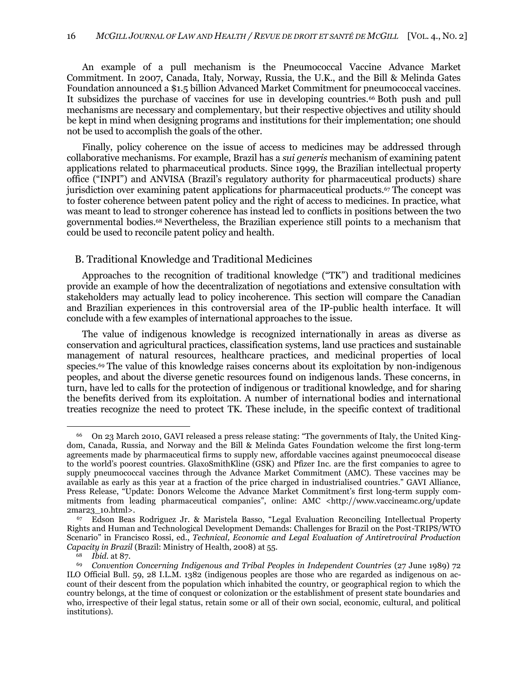An example of a pull mechanism is the Pneumococcal Vaccine Advance Market Commitment. In 2007, Canada, Italy, Norway, Russia, the U.K., and the Bill & Melinda Gates Foundation announced a \$1.5 billion Advanced Market Commitment for pneumococcal vaccines. It subsidizes the purchase of vaccines for use in developing countries.<sup>66</sup> Both push and pull mechanisms are necessary and complementary, but their respective objectives and utility should be kept in mind when designing programs and institutions for their implementation; one should not be used to accomplish the goals of the other.

Finally, policy coherence on the issue of access to medicines may be addressed through collaborative mechanisms. For example, Brazil has a *sui generis* mechanism of examining patent applications related to pharmaceutical products. Since 1999, the Brazilian intellectual property office ("INPI") and ANVISA (Brazil's regulatory authority for pharmaceutical products) share jurisdiction over examining patent applications for pharmaceutical products.<sup>67</sup> The concept was to foster coherence between patent policy and the right of access to medicines. In practice, what was meant to lead to stronger coherence has instead led to conflicts in positions between the two governmental bodies.<sup>68</sup> Nevertheless, the Brazilian experience still points to a mechanism that could be used to reconcile patent policy and health.

# <span id="page-13-0"></span>B. Traditional Knowledge and Traditional Medicines

Approaches to the recognition of traditional knowledge ("TK") and traditional medicines provide an example of how the decentralization of negotiations and extensive consultation with stakeholders may actually lead to policy incoherence. This section will compare the Canadian and Brazilian experiences in this controversial area of the IP-public health interface. It will conclude with a few examples of international approaches to the issue.

The value of indigenous knowledge is recognized internationally in areas as diverse as conservation and agricultural practices, classification systems, land use practices and sustainable management of natural resources, healthcare practices, and medicinal properties of local species.<sup>69</sup> The value of this knowledge raises concerns about its exploitation by non-indigenous peoples, and about the diverse genetic resources found on indigenous lands. These concerns, in turn, have led to calls for the protection of indigenous or traditional knowledge, and for sharing the benefits derived from its exploitation. A number of international bodies and international treaties recognize the need to protect TK. These include, in the specific context of traditional

<sup>&</sup>lt;sup>66</sup> On 23 March 2010, GAVI released a press release stating: "The governments of Italy, the United Kingdom, Canada, Russia, and Norway and the Bill & Melinda Gates Foundation welcome the first long-term agreements made by pharmaceutical firms to supply new, affordable vaccines against pneumococcal disease to the world's poorest countries. GlaxoSmithKline (GSK) and Pfizer Inc. are the first companies to agree to supply pneumococcal vaccines through the Advance Market Commitment (AMC). These vaccines may be available as early as this year at a fraction of the price charged in industrialised countries." GAVI Alliance, Press Release, "Update: Donors Welcome the Advance Market Commitment's first long-term supply commitments from leading pharmaceutical companies", online: AMC <http://www.vaccineamc.org/update 2mar23\_10.html>.

<sup>&</sup>lt;sup>67</sup> Edson Beas Rodriguez Jr. & Maristela Basso, "Legal Evaluation Reconciling Intellectual Property Rights and Human and Technological Development Demands: Challenges for Brazil on the Post-TRIPS/WTO Scenario" in Francisco Rossi, ed., *Technical, Economic and Legal Evaluation of Antiretroviral Production Capacity in Brazil* (Brazil: Ministry of Health, 2008) at 55.

*Ibid.* at 87.

<sup>69</sup> *Convention Concerning Indigenous and Tribal Peoples in Independent Countries* (27 June 1989) 72 ILO Official Bull. 59, 28 I.L.M. 1382 (indigenous peoples are those who are regarded as indigenous on account of their descent from the population which inhabited the country, or geographical region to which the country belongs, at the time of conquest or colonization or the establishment of present state boundaries and who, irrespective of their legal status, retain some or all of their own social, economic, cultural, and political institutions).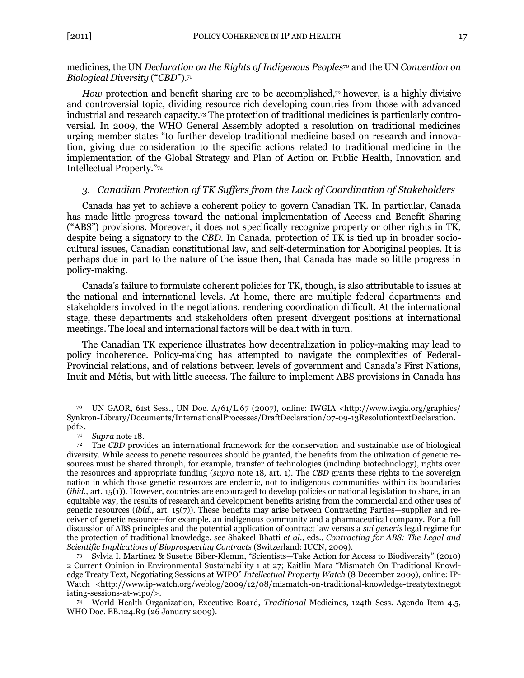# medicines, the UN *Declaration on the Rights of Indigenous Peoples*<sup>70</sup> and the UN *Convention on Biological Diversity* ("CBD").<sup>71</sup>

*How* protection and benefit sharing are to be accomplished,<sup>72</sup> however, is a highly divisive and controversial topic, dividing resource rich developing countries from those with advanced industrial and research capacity.<sup>73</sup> The protection of traditional medicines is particularly controversial. In 2009, the WHO General Assembly adopted a resolution on traditional medicines urging member states "to further develop traditional medicine based on research and innovation, giving due consideration to the specific actions related to traditional medicine in the implementation of the Global Strategy and Plan of Action on Public Health, Innovation and Intellectual Property."74

# <span id="page-14-0"></span>*3. Canadian Protection of TK Suffers from the Lack of Coordination of Stakeholders*

Canada has yet to achieve a coherent policy to govern Canadian TK. In particular, Canada has made little progress toward the national implementation of Access and Benefit Sharing (―ABS‖) provisions. Moreover, it does not specifically recognize property or other rights in TK, despite being a signatory to the *CBD*. In Canada, protection of TK is tied up in broader sociocultural issues, Canadian constitutional law, and self-determination for Aboriginal peoples. It is perhaps due in part to the nature of the issue then, that Canada has made so little progress in policy-making.

Canada's failure to formulate coherent policies for TK, though, is also attributable to issues at the national and international levels. At home, there are multiple federal departments and stakeholders involved in the negotiations, rendering coordination difficult. At the international stage, these departments and stakeholders often present divergent positions at international meetings. The local and international factors will be dealt with in turn.

The Canadian TK experience illustrates how decentralization in policy-making may lead to policy incoherence. Policy-making has attempted to navigate the complexities of Federal-Provincial relations, and of relations between levels of government and Canada's First Nations, Inuit and Métis, but with little success. The failure to implement ABS provisions in Canada has

<sup>70</sup> UN GAOR, 61st Sess., UN Doc. A/61/L.67 (2007), online: IWGIA <http://www.iwgia.org/graphics/ Synkron-Library/Documents/InternationalProcesses/DraftDeclaration/07-09-13ResolutiontextDeclaration. pdf>.

<sup>71</sup> *Supra* not[e 18.](#page-5-1)

<sup>72</sup> The *CBD* provides an international framework for the conservation and sustainable use of biological diversity. While access to genetic resources should be granted, the benefits from the utilization of genetic resources must be shared through, for example, transfer of technologies (including biotechnology), rights over the resources and appropriate funding (*supra* note [18](#page-5-1)*,* art. 1). The *CBD* grants these rights to the sovereign nation in which those genetic resources are endemic, not to indigenous communities within its boundaries (*ibid.*, art. 15(1)). However, countries are encouraged to develop policies or national legislation to share, in an equitable way, the results of research and development benefits arising from the commercial and other uses of genetic resources (*ibid.*, art. 15(7)). These benefits may arise between Contracting Parties—supplier and receiver of genetic resource—for example, an indigenous community and a pharmaceutical company. For a full discussion of ABS principles and the potential application of contract law versus a *sui generis* legal regime for the protection of traditional knowledge, see Shakeel Bhatti *et al*., eds., *Contracting for ABS: The Legal and Scientific Implications of Bioprospecting Contracts* (Switzerland: IUCN, 2009).

Sylvia I. Martinez & Susette Biber-Klemm, "Scientists—Take Action for Access to Biodiversity" (2010) 2 Current Opinion in Environmental Sustainability 1 at 27; Kaitlin Mara "Mismatch On Traditional Knowledge Treaty Text, Negotiating Sessions at WIPO" *Intellectual Property Watch* (8 December 2009), online: IP-Watch <http://www.ip-watch.org/weblog/2009/12/08/mismatch-on-traditional-knowledge-treatytextnegot iating-sessions-at-wipo/>.

<sup>74</sup> World Health Organization, Executive Board, *Traditional* Medicines, 124th Sess. Agenda Item 4.5, WHO Doc. EB.124.R9 (26 January 2009).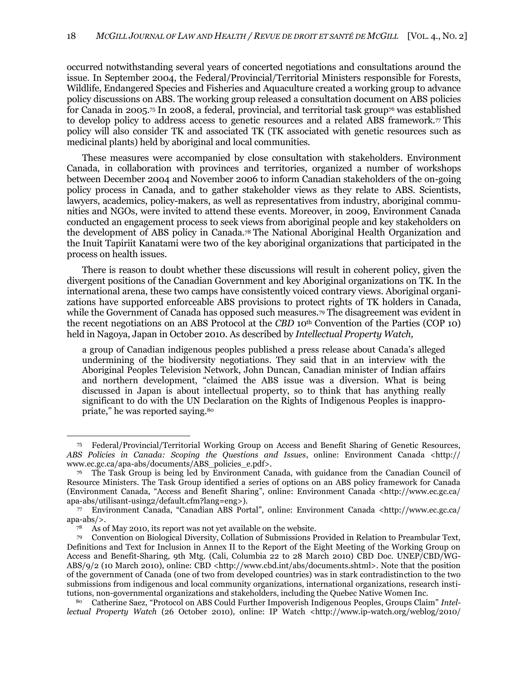occurred notwithstanding several years of concerted negotiations and consultations around the issue. In September 2004, the Federal/Provincial/Territorial Ministers responsible for Forests, Wildlife, Endangered Species and Fisheries and Aquaculture created a working group to advance policy discussions on ABS. The working group released a consultation document on ABS policies for Canada in 2005.<sup>75</sup> In 2008, a federal, provincial, and territorial task group<sup> $\tau$ 6</sup> was established to develop policy to address access to genetic resources and a related ABS framework.<sup>77</sup> This policy will also consider TK and associated TK (TK associated with genetic resources such as medicinal plants) held by aboriginal and local communities.

These measures were accompanied by close consultation with stakeholders. Environment Canada, in collaboration with provinces and territories, organized a number of workshops between December 2004 and November 2006 to inform Canadian stakeholders of the on-going policy process in Canada, and to gather stakeholder views as they relate to ABS. Scientists, lawyers, academics, policy-makers, as well as representatives from industry, aboriginal communities and NGOs, were invited to attend these events. Moreover, in 2009, Environment Canada conducted an engagement process to seek views from aboriginal people and key stakeholders on the development of ABS policy in Canada.<sup>78</sup> The National Aboriginal Health Organization and the Inuit Tapiriit Kanatami were two of the key aboriginal organizations that participated in the process on health issues.

There is reason to doubt whether these discussions will result in coherent policy, given the divergent positions of the Canadian Government and key Aboriginal organizations on TK. In the international arena, these two camps have consistently voiced contrary views. Aboriginal organizations have supported enforceable ABS provisions to protect rights of TK holders in Canada, while the Government of Canada has opposed such measures.<sup>79</sup> The disagreement was evident in the recent negotiations on an ABS Protocol at the *CBD* 10<sup>th</sup> Convention of the Parties (COP 10) held in Nagoya, Japan in October 2010. As described by *Intellectual Property Watch,*

a group of Canadian indigenous peoples published a press release about Canada's alleged undermining of the biodiversity negotiations. They said that in an interview with the Aboriginal Peoples Television Network, John Duncan, Canadian minister of Indian affairs and northern development, "claimed the ABS issue was a diversion. What is being discussed in Japan is about intellectual property, so to think that has anything really significant to do with the UN Declaration on the Rights of Indigenous Peoples is inappropriate," he was reported saying.<sup>80</sup>

<sup>75</sup> Federal/Provincial/Territorial Working Group on Access and Benefit Sharing of Genetic Resources, *ABS Policies in Canada: Scoping the Questions and Issues*, online: Environment Canada <http:// www.ec.gc.ca/apa-abs/documents/ABS\_policies\_e.pdf>.

<sup>76</sup> The Task Group is being led by Environment Canada, with guidance from the Canadian Council of Resource Ministers. The Task Group identified a series of options on an ABS policy framework for Canada (Environment Canada, ―Access and Benefit Sharing‖, online: Environment Canada <http://www.ec.gc.ca/ apa-abs/utilisant-using2/default.cfm?lang=eng>).

<sup>77</sup> Environment Canada, ―Canadian ABS Portal‖, online: Environment Canada <http://www.ec.gc.ca/ apa-abs/>.

<sup>78</sup> As of May 2010, its report was not yet available on the website.

<sup>79</sup> Convention on Biological Diversity, Collation of Submissions Provided in Relation to Preambular Text, Definitions and Text for Inclusion in Annex II to the Report of the Eight Meeting of the Working Group on Access and Benefit-Sharing, 9th Mtg. (Cali, Columbia 22 to 28 March 2010) CBD Doc. UNEP/CBD/WG-ABS/9/2 (10 March 2010), online: CBD <http://www.cbd.int/abs/documents.shtml>. Note that the position of the government of Canada (one of two from developed countries) was in stark contradistinction to the two submissions from indigenous and local community organizations, international organizations, research institutions, non-governmental organizations and stakeholders, including the Quebec Native Women Inc.

Catherine Saez, "Protocol on ABS Could Further Impoverish Indigenous Peoples, Groups Claim" Intel*lectual Property Watch* (26 October 2010), online: IP Watch <http://www.ip-watch.org/weblog/2010/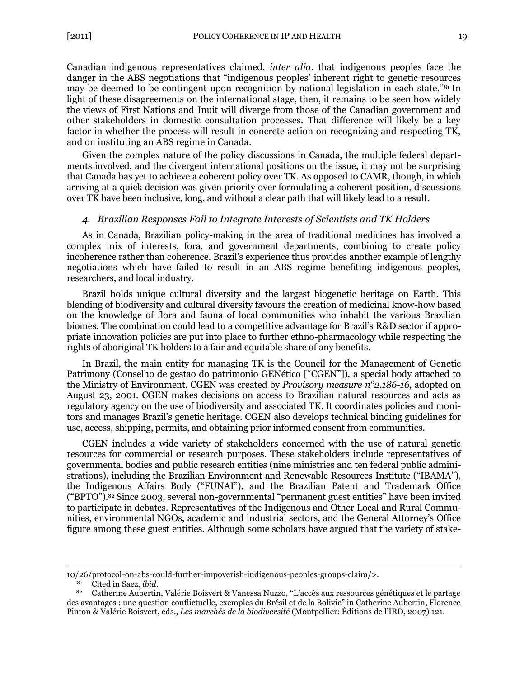Canadian indigenous representatives claimed, *inter alia*, that indigenous peoples face the danger in the ABS negotiations that "indigenous peoples' inherent right to genetic resources may be deemed to be contingent upon recognition by national legislation in each state.<sup>"81</sup> In light of these disagreements on the international stage, then, it remains to be seen how widely the views of First Nations and Inuit will diverge from those of the Canadian government and other stakeholders in domestic consultation processes. That difference will likely be a key factor in whether the process will result in concrete action on recognizing and respecting TK, and on instituting an ABS regime in Canada.

Given the complex nature of the policy discussions in Canada, the multiple federal departments involved, and the divergent international positions on the issue, it may not be surprising that Canada has yet to achieve a coherent policy over TK. As opposed to CAMR, though, in which arriving at a quick decision was given priority over formulating a coherent position, discussions over TK have been inclusive, long, and without a clear path that will likely lead to a result.

### <span id="page-16-0"></span>*4. Brazilian Responses Fail to Integrate Interests of Scientists and TK Holders*

As in Canada, Brazilian policy-making in the area of traditional medicines has involved a complex mix of interests, fora, and government departments, combining to create policy incoherence rather than coherence. Brazil's experience thus provides another example of lengthy negotiations which have failed to result in an ABS regime benefiting indigenous peoples, researchers, and local industry.

Brazil holds unique cultural diversity and the largest biogenetic heritage on Earth. This blending of biodiversity and cultural diversity favours the creation of medicinal know-how based on the knowledge of flora and fauna of local communities who inhabit the various Brazilian biomes. The combination could lead to a competitive advantage for Brazil's R&D sector if appropriate innovation policies are put into place to further ethno-pharmacology while respecting the rights of aboriginal TK holders to a fair and equitable share of any benefits.

In Brazil, the main entity for managing TK is the Council for the Management of Genetic Patrimony (Conselho de gestao do patrimonio GENético ["CGEN"]), a special body attached to the Ministry of Environment. CGEN was created by *Provisory measure n°2.186-16,* adopted on August 23, 2001. CGEN makes decisions on access to Brazilian natural resources and acts as regulatory agency on the use of biodiversity and associated TK. It coordinates policies and monitors and manages Brazil's genetic heritage. CGEN also develops technical binding guidelines for use, access, shipping, permits, and obtaining prior informed consent from communities.

<span id="page-16-1"></span>CGEN includes a wide variety of stakeholders concerned with the use of natural genetic resources for commercial or research purposes. These stakeholders include representatives of governmental bodies and public research entities (nine ministries and ten federal public administrations), including the Brazilian Environment and Renewable Resources Institute ("IBAMA"), the Indigenous Affairs Body ("FUNAI"), and the Brazilian Patent and Trademark Office ("BPTO").<sup>82</sup> Since 2003, several non-governmental "permanent guest entities" have been invited to participate in debates. Representatives of the Indigenous and Other Local and Rural Communities, environmental NGOs, academic and industrial sectors, and the General Attorney's Office figure among these guest entities. Although some scholars have argued that the variety of stake-

<sup>10/26/</sup>protocol-on-abs-could-further-impoverish-indigenous-peoples-groups-claim/>.

Cited in Saez, *ibid.* 

Catherine Aubertin, Valérie Boisvert & Vanessa Nuzzo, "L'accès aux ressources génétiques et le partage des avantages : une question conflictuelle, exemples du Brésil et de la Bolivie" in Catherine Aubertin, Florence Pinton & Valérie Boisvert, eds., *Les marchés de la biodiversité* (Montpellier: Éditions de l'IRD, 2007) 121.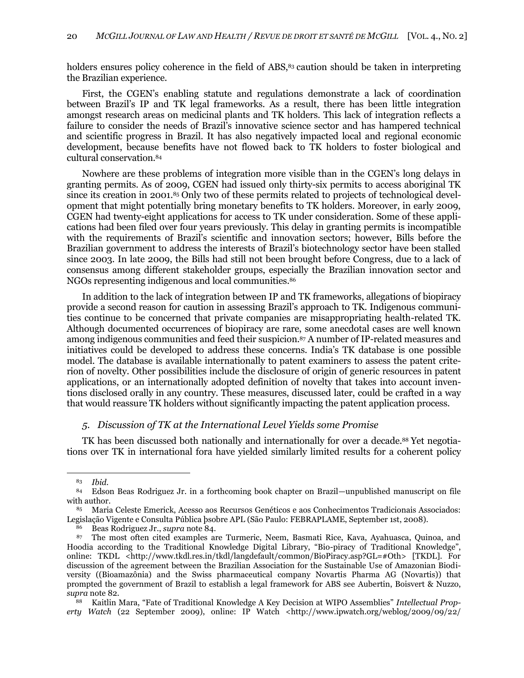holders ensures policy coherence in the field of ABS,<sup>83</sup> caution should be taken in interpreting the Brazilian experience.

First, the CGEN's enabling statute and regulations demonstrate a lack of coordination between Brazil's IP and TK legal frameworks. As a result, there has been little integration amongst research areas on medicinal plants and TK holders. This lack of integration reflects a failure to consider the needs of Brazil's innovative science sector and has hampered technical and scientific progress in Brazil. It has also negatively impacted local and regional economic development, because benefits have not flowed back to TK holders to foster biological and cultural conservation.<sup>84</sup>

<span id="page-17-1"></span>Nowhere are these problems of integration more visible than in the CGEN's long delays in granting permits. As of 2009, CGEN had issued only thirty-six permits to access aboriginal TK since its creation in 2001.<sup>85</sup> Only two of these permits related to projects of technological development that might potentially bring monetary benefits to TK holders. Moreover, in early 2009, CGEN had twenty-eight applications for access to TK under consideration. Some of these applications had been filed over four years previously. This delay in granting permits is incompatible with the requirements of Brazil's scientific and innovation sectors; however, Bills before the Brazilian government to address the interests of Brazil's biotechnology sector have been stalled since 2003. In late 2009, the Bills had still not been brought before Congress, due to a lack of consensus among different stakeholder groups, especially the Brazilian innovation sector and NGOs representing indigenous and local communities.<sup>86</sup>

In addition to the lack of integration between IP and TK frameworks, allegations of biopiracy provide a second reason for caution in assessing Brazil's approach to TK. Indigenous communities continue to be concerned that private companies are misappropriating health-related TK. Although documented occurrences of biopiracy are rare, some anecdotal cases are well known among indigenous communities and feed their suspicion.<sup>87</sup> A number of IP-related measures and initiatives could be developed to address these concerns. India's TK database is one possible model. The database is available internationally to patent examiners to assess the patent criterion of novelty. Other possibilities include the disclosure of origin of generic resources in patent applications, or an internationally adopted definition of novelty that takes into account inventions disclosed orally in any country. These measures, discussed later, could be crafted in a way that would reassure TK holders without significantly impacting the patent application process.

# <span id="page-17-2"></span><span id="page-17-0"></span>*5. Discussion of TK at the International Level Yields some Promise*

TK has been discussed both nationally and internationally for over a decade.<sup>88</sup> Yet negotiations over TK in international fora have yielded similarly limited results for a coherent policy

<sup>83</sup> *Ibid*.

<sup>84</sup> Edson Beas Rodriguez Jr. in a forthcoming book chapter on Brazil—unpublished manuscript on file with author.

<sup>85</sup> Maria Celeste Emerick, Acesso aos Recursos Genéticos e aos Conhecimentos Tradicionais Associados: Legislação Vigente e Consulta Pública þsobre APL (São Paulo: FEBRAPLAME, September 1st, 2008).

<sup>86</sup> Beas Rodriguez Jr., *supra* note [84.](#page-17-1)

<sup>87</sup> The most often cited examples are Turmeric, Neem, Basmati Rice, Kava, Ayahuasca, Quinoa, and Hoodia according to the Traditional Knowledge Digital Library, "Bio-piracy of Traditional Knowledge", online: TKDL <http://www.tkdl.res.in/tkdl/langdefault/common/BioPiracy.asp?GL=#Oth> [TKDL]. For discussion of the agreement between the Brazilian Association for the Sustainable Use of Amazonian Biodiversity ((Bioamazônia) and the Swiss pharmaceutical company Novartis Pharma AG (Novartis)) that prompted the government of Brazil to establish a legal framework for ABS see Aubertin, Boisvert & Nuzzo, *supra* note [82.](#page-16-1)

<sup>&</sup>lt;sup>88</sup> Kaitlin Mara, "Fate of Traditional Knowledge A Key Decision at WIPO Assemblies" Intellectual Prop*erty Watch* (22 September 2009), online: IP Watch <http://www.ipwatch.org/weblog/2009/09/22/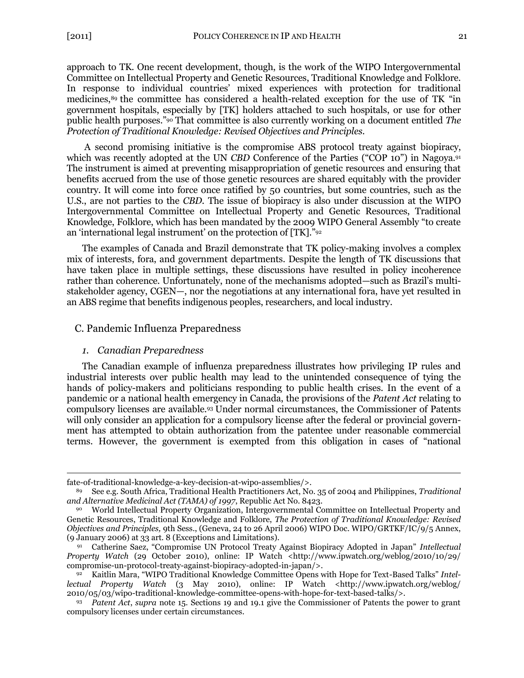approach to TK. One recent development, though, is the work of the WIPO Intergovernmental Committee on Intellectual Property and Genetic Resources, Traditional Knowledge and Folklore. In response to individual countries' mixed experiences with protection for traditional medicines,<sup>89</sup> the committee has considered a health-related exception for the use of TK "in government hospitals, especially by [TK] holders attached to such hospitals, or use for other public health purposes.‖<sup>90</sup> That committee is also currently working on a document entitled *The Protection of Traditional Knowledge: Revised Objectives and Principles*.

A second promising initiative is the compromise ABS protocol treaty against biopiracy, which was recently adopted at the UN *CBD* Conference of the Parties ("COP 10") in Nagoya.<sup>91</sup> The instrument is aimed at preventing misappropriation of genetic resources and ensuring that benefits accrued from the use of those genetic resources are shared equitably with the provider country. It will come into force once ratified by 50 countries, but some countries, such as the U.S., are not parties to the *CBD.* The issue of biopiracy is also under discussion at the WIPO Intergovernmental Committee on Intellectual Property and Genetic Resources, Traditional Knowledge, Folklore, which has been mandated by the 2009 WIPO General Assembly "to create an 'international legal instrument' on the protection of  $[TK]$ ."<sup>92</sup>

The examples of Canada and Brazil demonstrate that TK policy-making involves a complex mix of interests, fora, and government departments. Despite the length of TK discussions that have taken place in multiple settings, these discussions have resulted in policy incoherence rather than coherence. Unfortunately, none of the mechanisms adopted—such as Brazil's multistakeholder agency, CGEN—, nor the negotiations at any international fora, have yet resulted in an ABS regime that benefits indigenous peoples, researchers, and local industry.

### <span id="page-18-1"></span><span id="page-18-0"></span>C. Pandemic Influenza Preparedness

#### *1. Canadian Preparedness*

 $\overline{a}$ 

The Canadian example of influenza preparedness illustrates how privileging IP rules and industrial interests over public health may lead to the unintended consequence of tying the hands of policy-makers and politicians responding to public health crises. In the event of a pandemic or a national health emergency in Canada, the provisions of the *Patent Act* relating to compulsory licenses are available.<sup>93</sup> Under normal circumstances, the Commissioner of Patents will only consider an application for a compulsory license after the federal or provincial government has attempted to obtain authorization from the patentee under reasonable commercial terms. However, the government is exempted from this obligation in cases of "national"

fate-of-traditional-knowledge-a-key-decision-at-wipo-assemblies/>.

<sup>89</sup> See e.g. South Africa, Traditional Health Practitioners Act, No. 35 of 2004 and Philippines, *Traditional and Alternative Medicinal Act (TAMA) of 1997*, Republic Act No. 8423.

<sup>90</sup> World Intellectual Property Organization, Intergovernmental Committee on Intellectual Property and Genetic Resources, Traditional Knowledge and Folklore, *The Protection of Traditional Knowledge: Revised Objectives and Principles,* 9th Sess., (Geneva, 24 to 26 April 2006) WIPO Doc. WIPO/GRTKF/IC/9/5 Annex, (9 January 2006) at 33 art. 8 (Exceptions and Limitations).

<sup>91</sup> Catherine Saez, "Compromise UN Protocol Treaty Against Biopiracy Adopted in Japan" *Intellectual Property Watch* (29 October 2010), online: IP Watch <http://www.ipwatch.org/weblog/2010/10/29/ compromise-un-protocol-treaty-against-biopiracy-adopted-in-japan/>.

<sup>92</sup> Kaitlin Mara, "WIPO Traditional Knowledge Committee Opens with Hope for Text-Based Talks" Intel*lectual Property Watch* (3 May 2010), online: IP Watch <http://www.ipwatch.org/weblog/ 2010/05/03/wipo-traditional-knowledge-committee-opens-with-hope-for-text-based-talks/>*.*

<sup>93</sup> *Patent Act*, *supra* note [15.](#page-5-0) Sections 19 and 19.1 give the Commissioner of Patents the power to grant compulsory licenses under certain circumstances.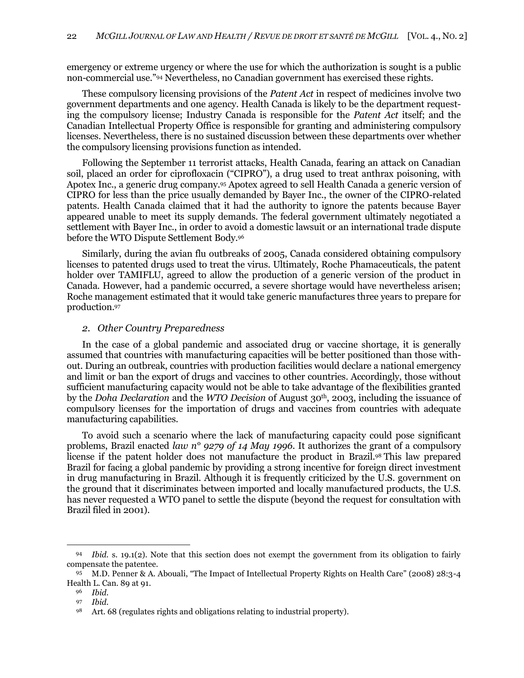emergency or extreme urgency or where the use for which the authorization is sought is a public non-commercial use."<sup>94</sup> Nevertheless, no Canadian government has exercised these rights.

These compulsory licensing provisions of the *Patent Act* in respect of medicines involve two government departments and one agency. Health Canada is likely to be the department requesting the compulsory license; Industry Canada is responsible for the *Patent Act* itself; and the Canadian Intellectual Property Office is responsible for granting and administering compulsory licenses. Nevertheless, there is no sustained discussion between these departments over whether the compulsory licensing provisions function as intended.

Following the September 11 terrorist attacks, Health Canada, fearing an attack on Canadian soil, placed an order for ciprofloxacin ("CIPRO"), a drug used to treat anthrax poisoning, with Apotex Inc., a generic drug company.<sup>95</sup> Apotex agreed to sell Health Canada a generic version of CIPRO for less than the price usually demanded by Bayer Inc., the owner of the CIPRO-related patents. Health Canada claimed that it had the authority to ignore the patents because Bayer appeared unable to meet its supply demands. The federal government ultimately negotiated a settlement with Bayer Inc., in order to avoid a domestic lawsuit or an international trade dispute before the WTO Dispute Settlement Body.<sup>96</sup>

Similarly, during the avian flu outbreaks of 2005, Canada considered obtaining compulsory licenses to patented drugs used to treat the virus. Ultimately, Roche Phamaceuticals, the patent holder over TAMIFLU, agreed to allow the production of a generic version of the product in Canada. However, had a pandemic occurred, a severe shortage would have nevertheless arisen; Roche management estimated that it would take generic manufactures three years to prepare for production.<sup>97</sup>

### <span id="page-19-0"></span>*2. Other Country Preparedness*

In the case of a global pandemic and associated drug or vaccine shortage, it is generally assumed that countries with manufacturing capacities will be better positioned than those without. During an outbreak, countries with production facilities would declare a national emergency and limit or ban the export of drugs and vaccines to other countries. Accordingly, those without sufficient manufacturing capacity would not be able to take advantage of the flexibilities granted by the *Doha Declaration* and the *WTO Decision* of August 30<sup>th</sup>, 2003, including the issuance of compulsory licenses for the importation of drugs and vaccines from countries with adequate manufacturing capabilities.

To avoid such a scenario where the lack of manufacturing capacity could pose significant problems, Brazil enacted *law n° 9279 of 14 May 1996*. It authorizes the grant of a compulsory license if the patent holder does not manufacture the product in Brazil.<sup>98</sup> This law prepared Brazil for facing a global pandemic by providing a strong incentive for foreign direct investment in drug manufacturing in Brazil. Although it is frequently criticized by the U.S. government on the ground that it discriminates between imported and locally manufactured products, the U.S. has never requested a WTO panel to settle the dispute (beyond the request for consultation with Brazil filed in 2001).

<sup>94</sup> *Ibid.* s. 19.1(2). Note that this section does not exempt the government from its obligation to fairly compensate the patentee.

<sup>95</sup> M.D. Penner & A. Abouali, "The Impact of Intellectual Property Rights on Health Care" (2008) 28:3-4 Health L. Can. 89 at 91.

<sup>96</sup> *Ibid*.

<sup>97</sup> *Ibid*.

<sup>98</sup> Art. 68 (regulates rights and obligations relating to industrial property).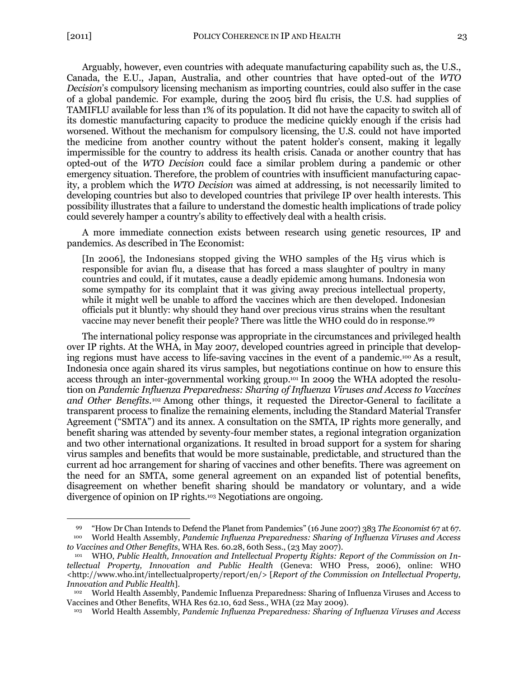$\overline{a}$ 

Arguably, however, even countries with adequate manufacturing capability such as, the U.S., Canada, the E.U., Japan, Australia, and other countries that have opted-out of the *WTO Decision*'s compulsory licensing mechanism as importing countries, could also suffer in the case of a global pandemic. For example, during the 2005 bird flu crisis, the U.S. had supplies of TAMIFLU available for less than 1% of its population. It did not have the capacity to switch all of its domestic manufacturing capacity to produce the medicine quickly enough if the crisis had worsened. Without the mechanism for compulsory licensing, the U.S. could not have imported the medicine from another country without the patent holder's consent, making it legally impermissible for the country to address its health crisis. Canada or another country that has opted-out of the *WTO Decision* could face a similar problem during a pandemic or other emergency situation. Therefore, the problem of countries with insufficient manufacturing capacity, a problem which the *WTO Decision* was aimed at addressing, is not necessarily limited to developing countries but also to developed countries that privilege IP over health interests. This possibility illustrates that a failure to understand the domestic health implications of trade policy could severely hamper a country's ability to effectively deal with a health crisis.

A more immediate connection exists between research using genetic resources, IP and pandemics. As described in The Economist:

[In 2006], the Indonesians stopped giving the WHO samples of the H5 virus which is responsible for avian flu, a disease that has forced a mass slaughter of poultry in many countries and could, if it mutates, cause a deadly epidemic among humans. Indonesia won some sympathy for its complaint that it was giving away precious intellectual property, while it might well be unable to afford the vaccines which are then developed. Indonesian officials put it bluntly: why should they hand over precious virus strains when the resultant vaccine may never benefit their people? There was little the WHO could do in response.<sup>99</sup>

<span id="page-20-0"></span>The international policy response was appropriate in the circumstances and privileged health over IP rights. At the WHA, in May 2007, developed countries agreed in principle that developing regions must have access to life-saving vaccines in the event of a pandemic.<sup>100</sup> As a result, Indonesia once again shared its virus samples, but negotiations continue on how to ensure this access through an inter-governmental working group.<sup>101</sup> In 2009 the WHA adopted the resolution on *Pandemic Influenza Preparedness: Sharing of Influenza Viruses and Access to Vaccines and Other Benefits*. <sup>102</sup> Among other things, it requested the Director-General to facilitate a transparent process to finalize the remaining elements, including the Standard Material Transfer Agreement ("SMTA") and its annex. A consultation on the SMTA, IP rights more generally, and benefit sharing was attended by seventy-four member states, a regional integration organization and two other international organizations. It resulted in broad support for a system for sharing virus samples and benefits that would be more sustainable, predictable, and structured than the current ad hoc arrangement for sharing of vaccines and other benefits. There was agreement on the need for an SMTA, some general agreement on an expanded list of potential benefits, disagreement on whether benefit sharing should be mandatory or voluntary, and a wide divergence of opinion on IP rights.<sup>103</sup> Negotiations are ongoing.

<sup>99</sup> ―How Dr Chan Intends to Defend the Planet from Pandemics‖ (16 June 2007) 383 *The Economist* 67 at 67. <sup>100</sup> World Health Assembly, *Pandemic Influenza Preparedness: Sharing of Influenza Viruses and Access to Vaccines and Other Benefits*, WHA Res. 60.28, 60th Sess., (23 May 2007).

WHO, Public Health, Innovation and Intellectual Property Rights: Report of the Commission on In*tellectual Property, Innovation and Public Health* (Geneva: WHO Press, 2006), online: WHO <http://www.who.int/intellectualproperty/report/en/> [*Report of the Commission on Intellectual Property, Innovation and Public Health*].

<sup>102</sup> World Health Assembly, Pandemic Influenza Preparedness: Sharing of Influenza Viruses and Access to Vaccines and Other Benefits, WHA Res 62.10, 62d Sess., WHA (22 May 2009).

<sup>103</sup> World Health Assembly, *Pandemic Influenza Preparedness: Sharing of Influenza Viruses and Access*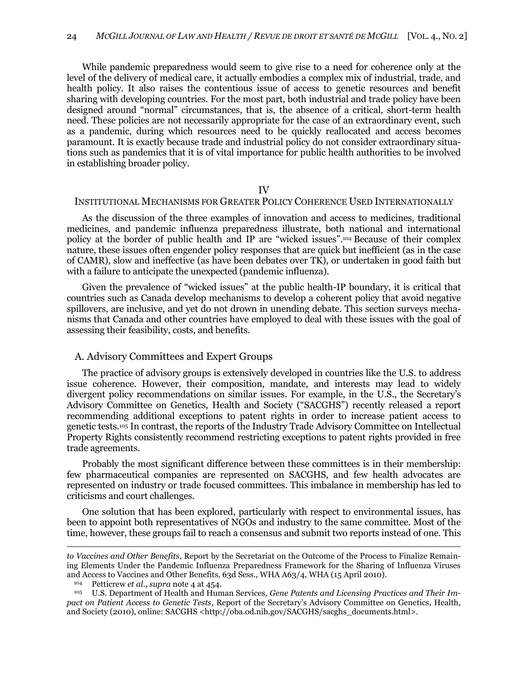While pandemic preparedness would seem to give rise to a need for coherence only at the level of the delivery of medical care, it actually embodies a complex mix of industrial, trade, and health policy. It also raises the contentious issue of access to genetic resources and benefit sharing with developing countries. For the most part, both industrial and trade policy have been designed around "normal" circumstances, that is, the absence of a critical, short-term health need. These policies are not necessarily appropriate for the case of an extraordinary event, such as a pandemic, during which resources need to be quickly reallocated and access becomes paramount. It is exactly because trade and industrial policy do not consider extraordinary situations such as pandemics that it is of vital importance for public health authorities to be involved in establishing broader policy.

#### IV

### <span id="page-21-0"></span>INSTITUTIONAL MECHANISMS FOR GREATER POLICY COHERENCE USED INTERNATIONALLY

As the discussion of the three examples of innovation and access to medicines, traditional medicines, and pandemic influenza preparedness illustrate, both national and international policy at the border of public health and IP are "wicked issues".<sup>104</sup> Because of their complex nature, these issues often engender policy responses that are quick but inefficient (as in the case of CAMR), slow and ineffective (as have been debates over TK), or undertaken in good faith but with a failure to anticipate the unexpected (pandemic influenza).

Given the prevalence of "wicked issues" at the public health-IP boundary, it is critical that countries such as Canada develop mechanisms to develop a coherent policy that avoid negative spillovers, are inclusive, and yet do not drown in unending debate. This section surveys mechanisms that Canada and other countries have employed to deal with these issues with the goal of assessing their feasibility, costs, and benefits.

#### <span id="page-21-1"></span>A. Advisory Committees and Expert Groups

The practice of advisory groups is extensively developed in countries like the U.S. to address issue coherence. However, their composition, mandate, and interests may lead to widely divergent policy recommendations on similar issues. For example, in the U.S., the Secretary's Advisory Committee on Genetics, Health and Society ("SACGHS") recently released a report recommending additional exceptions to patent rights in order to increase patient access to genetic tests.<sup>105</sup> In contrast, the reports of the Industry Trade Advisory Committee on Intellectual Property Rights consistently recommend restricting exceptions to patent rights provided in free trade agreements.

Probably the most significant difference between these committees is in their membership: few pharmaceutical companies are represented on SACGHS, and few health advocates are represented on industry or trade focused committees. This imbalance in membership has led to criticisms and court challenges.

One solution that has been explored, particularly with respect to environmental issues, has been to appoint both representatives of NGOs and industry to the same committee. Most of the time, however, these groups fail to reach a consensus and submit two reports instead of one. This

*to Vaccines and Other Benefits*, Report by the Secretariat on the Outcome of the Process to Finalize Remaining Elements Under the Pandemic Influenza Preparedness Framework for the Sharing of Influenza Viruses and Access to Vaccines and Other Benefits, 63d Sess., WHA A63/4, WHA (15 April 2010).

<sup>104</sup> Petticrew *et al.*, *supra* note [4](#page-2-2) at 454.

<sup>105</sup> U.S. Department of Health and Human Services, *Gene Patents and Licensing Practices and Their Impact on Patient Access to Genetic Tests*, Report of the Secretary's Advisory Committee on Genetics, Health, and Society (2010), online: SACGHS <http://oba.od.nih.gov/SACGHS/sacghs\_documents.html>.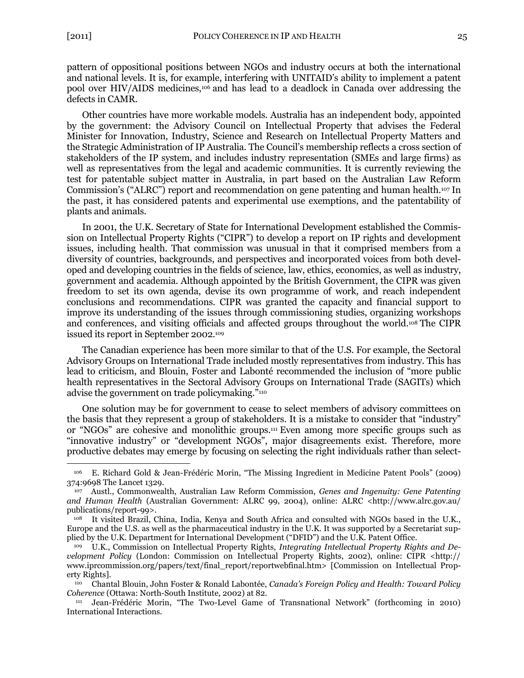$\overline{a}$ 

pattern of oppositional positions between NGOs and industry occurs at both the international and national levels. It is, for example, interfering with UNITAID's ability to implement a patent pool over HIV/AIDS medicines,<sup>106</sup> and has lead to a deadlock in Canada over addressing the defects in CAMR.

Other countries have more workable models. Australia has an independent body, appointed by the government: the Advisory Council on Intellectual Property that advises the Federal Minister for Innovation, Industry, Science and Research on Intellectual Property Matters and the Strategic Administration of IP Australia. The Council's membership reflects a cross section of stakeholders of the IP system, and includes industry representation (SMEs and large firms) as well as representatives from the legal and academic communities. It is currently reviewing the test for patentable subject matter in Australia, in part based on the Australian Law Reform Commission's ("ALRC") report and recommendation on gene patenting and human health.<sup>107</sup> In the past, it has considered patents and experimental use exemptions, and the patentability of plants and animals.

In 2001, the U.K. Secretary of State for International Development established the Commission on Intellectual Property Rights ("CIPR") to develop a report on IP rights and development issues, including health. That commission was unusual in that it comprised members from a diversity of countries, backgrounds, and perspectives and incorporated voices from both developed and developing countries in the fields of science, law, ethics, economics, as well as industry, government and academia. Although appointed by the British Government, the CIPR was given freedom to set its own agenda, devise its own programme of work, and reach independent conclusions and recommendations. CIPR was granted the capacity and financial support to improve its understanding of the issues through commissioning studies, organizing workshops and conferences, and visiting officials and affected groups throughout the world.<sup>108</sup> The CIPR issued its report in September 2002.<sup>109</sup>

<span id="page-22-0"></span>The Canadian experience has been more similar to that of the U.S. For example, the Sectoral Advisory Groups on International Trade included mostly representatives from industry. This has lead to criticism, and Blouin, Foster and Labonté recommended the inclusion of "more public health representatives in the Sectoral Advisory Groups on International Trade (SAGITs) which advise the government on trade policymaking."<sup>110</sup>

<span id="page-22-1"></span>One solution may be for government to cease to select members of advisory committees on the basis that they represent a group of stakeholders. It is a mistake to consider that "industry" or "NGOs" are cohesive and monolithic groups.<sup>111</sup> Even among more specific groups such as "innovative industry" or "development NGOs", major disagreements exist. Therefore, more productive debates may emerge by focusing on selecting the right individuals rather than select-

<sup>&</sup>lt;sup>106</sup> E. Richard Gold & Jean-Frédéric Morin, "The Missing Ingredient in Medicine Patent Pools" (2009) 374:9698 The Lancet 1329.

<sup>107</sup> Austl., Commonwealth, Australian Law Reform Commission, *Genes and Ingenuity: Gene Patenting and Human Health* (Australian Government: ALRC 99, 2004), online: ALRC <http://www.alrc.gov.au/ publications/report-99>.

It visited Brazil, China, India, Kenya and South Africa and consulted with NGOs based in the U.K., Europe and the U.S. as well as the pharmaceutical industry in the U.K. It was supported by a Secretariat supplied by the U.K. Department for International Development ("DFID") and the U.K. Patent Office.

U.K., Commission on Intellectual Property Rights, *Integrating Intellectual Property Rights and Development Policy* (London: Commission on Intellectual Property Rights, 2002), online: CIPR <http:// www.iprcommission.org/papers/text/final\_report/reportwebfinal.htm> [Commission on Intellectual Property Rights].

<sup>110</sup> Chantal Blouin, John Foster & Ronald Labontée, *Canada's Foreign Policy and Health: Toward Policy Coherence* (Ottawa: North-South Institute, 2002) at 82.

Jean-Frédéric Morin, "The Two-Level Game of Transnational Network" (forthcoming in 2010) International Interactions.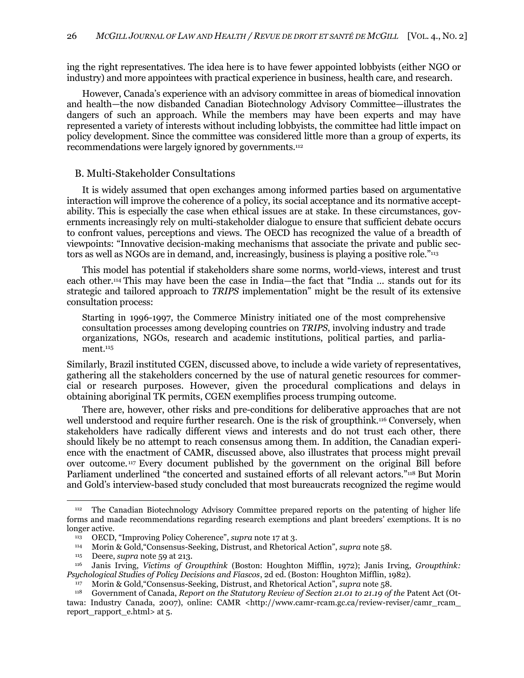ing the right representatives. The idea here is to have fewer appointed lobbyists (either NGO or industry) and more appointees with practical experience in business, health care, and research.

However, Canada's experience with an advisory committee in areas of biomedical innovation and health—the now disbanded Canadian Biotechnology Advisory Committee—illustrates the dangers of such an approach. While the members may have been experts and may have represented a variety of interests without including lobbyists, the committee had little impact on policy development. Since the committee was considered little more than a group of experts, its recommendations were largely ignored by governments.<sup>112</sup>

## <span id="page-23-0"></span>B. Multi-Stakeholder Consultations

It is widely assumed that open exchanges among informed parties based on argumentative interaction will improve the coherence of a policy, its social acceptance and its normative acceptability. This is especially the case when ethical issues are at stake. In these circumstances, governments increasingly rely on multi-stakeholder dialogue to ensure that sufficient debate occurs to confront values, perceptions and views. The OECD has recognized the value of a breadth of viewpoints: "Innovative decision-making mechanisms that associate the private and public sectors as well as NGOs are in demand, and, increasingly, business is playing a positive role."<sup>113</sup>

This model has potential if stakeholders share some norms, world-views, interest and trust each other.<sup>114</sup> This may have been the case in India—the fact that "India ... stands out for its strategic and tailored approach to *TRIPS* implementation‖ might be the result of its extensive consultation process:

Starting in 1996-1997, the Commerce Ministry initiated one of the most comprehensive consultation processes among developing countries on *TRIPS*, involving industry and trade organizations, NGOs, research and academic institutions, political parties, and parliament.<sup>115</sup>

Similarly, Brazil instituted CGEN, discussed above, to include a wide variety of representatives, gathering all the stakeholders concerned by the use of natural genetic resources for commercial or research purposes. However, given the procedural complications and delays in obtaining aboriginal TK permits, CGEN exemplifies process trumping outcome.

There are, however, other risks and pre-conditions for deliberative approaches that are not well understood and require further research. One is the risk of groupthink.<sup>116</sup> Conversely, when stakeholders have radically different views and interests and do not trust each other, there should likely be no attempt to reach consensus among them. In addition, the Canadian experience with the enactment of CAMR, discussed above, also illustrates that process might prevail over outcome. <sup>117</sup> Every document published by the government on the original Bill before Parliament underlined "the concerted and sustained efforts of all relevant actors."<sup>118</sup> But Morin and Gold's interview-based study concluded that most bureaucrats recognized the regime would

<sup>112</sup> The Canadian Biotechnology Advisory Committee prepared reports on the patenting of higher life forms and made recommendations regarding research exemptions and plant breeders' exemptions. It is no longer active.

<sup>&</sup>lt;sup>113</sup> OECD, "Improving Policy Coherence", *supra* note [17](#page-5-2) at 3.

<sup>114</sup> Morin & Gold,―Consensus-Seeking, Distrust, and Rhetorical Action‖, *supra* note [58.](#page-11-1)

<sup>115</sup> Deere, *supra* note [59](#page-12-0) at 213.

<sup>116</sup> Janis Irving, *Victims of Groupthink* (Boston: Houghton Mifflin, 1972); Janis Irving, *Groupthink: Psychological Studies of Policy Decisions and Fiascos*, 2d ed. (Boston: Houghton Mifflin, 1982).

<sup>117</sup> Morin & Gold, "Consensus-Seeking, Distrust, and Rhetorical Action", *supra* note [58.](#page-11-1)<br>
118 Government of Canada, *Report* on the Statutory *Review of Section* 21.01 to 21.10 of

<sup>118</sup> Government of Canada, *Report on the Statutory Review of Section 21.01 to 21.19 of the* Patent Act (Ottawa: Industry Canada, 2007), online: CAMR <http://www.camr-rcam.gc.ca/review-reviser/camr\_rcam\_ report\_rapport\_e.html> at 5.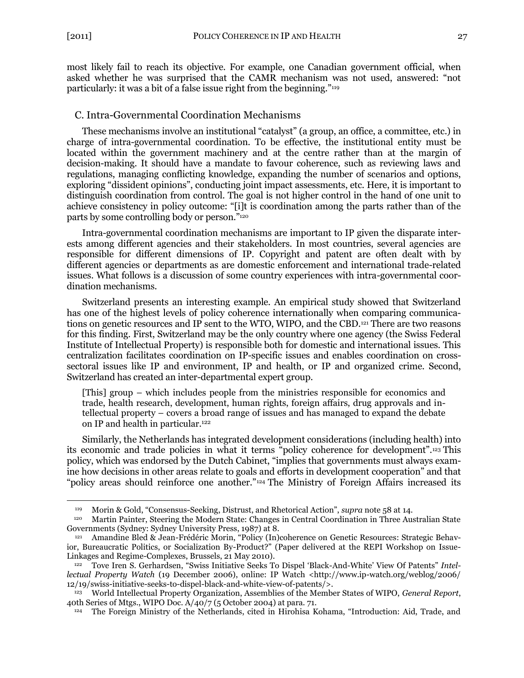$\overline{a}$ 

most likely fail to reach its objective. For example, one Canadian government official, when asked whether he was surprised that the CAMR mechanism was not used, answered: "not particularly: it was a bit of a false issue right from the beginning." $119$ 

## <span id="page-24-0"></span>C. Intra-Governmental Coordination Mechanisms

These mechanisms involve an institutional "catalyst" (a group, an office, a committee, etc.) in charge of intra-governmental coordination. To be effective, the institutional entity must be located within the government machinery and at the centre rather than at the margin of decision-making. It should have a mandate to favour coherence, such as reviewing laws and regulations, managing conflicting knowledge, expanding the number of scenarios and options, exploring "dissident opinions", conducting joint impact assessments, etc. Here, it is important to distinguish coordination from control. The goal is not higher control in the hand of one unit to achieve consistency in policy outcome: "[i]t is coordination among the parts rather than of the parts by some controlling body or person."<sup>120</sup>

Intra-governmental coordination mechanisms are important to IP given the disparate interests among different agencies and their stakeholders. In most countries, several agencies are responsible for different dimensions of IP. Copyright and patent are often dealt with by different agencies or departments as are domestic enforcement and international trade-related issues. What follows is a discussion of some country experiences with intra-governmental coordination mechanisms.

Switzerland presents an interesting example. An empirical study showed that Switzerland has one of the highest levels of policy coherence internationally when comparing communications on genetic resources and IP sent to the WTO, WIPO, and the CBD.<sup>121</sup> There are two reasons for this finding. First, Switzerland may be the only country where one agency (the Swiss Federal Institute of Intellectual Property) is responsible both for domestic and international issues. This centralization facilitates coordination on IP-specific issues and enables coordination on crosssectoral issues like IP and environment, IP and health, or IP and organized crime. Second, Switzerland has created an inter-departmental expert group.

<span id="page-24-1"></span>[This] group – which includes people from the ministries responsible for economics and trade, health research, development, human rights, foreign affairs, drug approvals and intellectual property – covers a broad range of issues and has managed to expand the debate on IP and health in particular.<sup>122</sup>

Similarly, the Netherlands has integrated development considerations (including health) into its economic and trade policies in what it terms "policy coherence for development".<sup>123</sup> This policy, which was endorsed by the Dutch Cabinet, "implies that governments must always examine how decisions in other areas relate to goals and efforts in development cooperation" and that ―policy areas should reinforce one another.‖<sup>124</sup> The Ministry of Foreign Affairs increased its

<sup>119</sup> Morin & Gold, "Consensus-Seeking, Distrust, and Rhetorical Action", *supra* note [58](#page-11-1) at 14.<br>120 Martin Painter, Steering the Modern State: Changes in Central Coordination in Three Aus

<sup>120</sup> Martin Painter, Steering the Modern State: Changes in Central Coordination in Three Australian State Governments (Sydney: Sydney University Press, 1987) at 8.

<sup>121</sup> Amandine Bled & Jean-Frédéric Morin, "Policy (In)coherence on Genetic Resources: Strategic Behavior, Bureaucratic Politics, or Socialization By-Product?" (Paper delivered at the REPI Workshop on Issue-Linkages and Regime-Complexes, Brussels, 21 May 2010).

Tove Iren S. Gerhardsen, "Swiss Initiative Seeks To Dispel 'Black-And-White' View Of Patents" Intel*lectual Property Watch* (19 December 2006), online: IP Watch <http://www.ip-watch.org/weblog/2006/ 12/19/swiss-initiative-seeks-to-dispel-black-and-white-view-of-patents/>.

<sup>123</sup> World Intellectual Property Organization, Assemblies of the Member States of WIPO, *General Report*, 40th Series of Mtgs., WIPO Doc. A/40/7 (5 October 2004) at para. 71.

<sup>124</sup> The Foreign Ministry of the Netherlands, cited in Hirohisa Kohama, "Introduction: Aid, Trade, and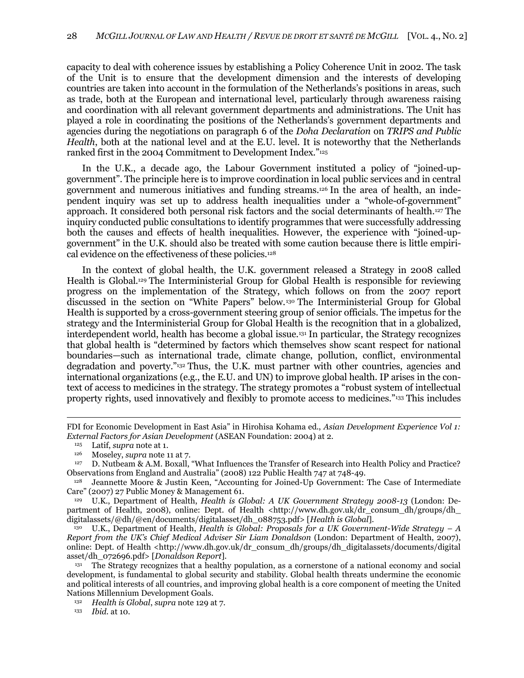capacity to deal with coherence issues by establishing a Policy Coherence Unit in 2002. The task of the Unit is to ensure that the development dimension and the interests of developing countries are taken into account in the formulation of the Netherlands's positions in areas, such as trade, both at the European and international level, particularly through awareness raising and coordination with all relevant government departments and administrations. The Unit has played a role in coordinating the positions of the Netherlands's government departments and agencies during the negotiations on paragraph 6 of the *Doha Declaration* on *TRIPS and Public Health*, both at the national level and at the E.U. level. It is noteworthy that the Netherlands ranked first in the 2004 Commitment to Development Index."125

In the U.K., a decade ago, the Labour Government instituted a policy of "joined-upgovernment‖. The principle here is to improve coordination in local public services and in central government and numerous initiatives and funding streams.<sup>126</sup> In the area of health, an independent inquiry was set up to address health inequalities under a "whole-of-government" approach. It considered both personal risk factors and the social determinants of health.<sup>127</sup> The inquiry conducted public consultations to identify programmes that were successfully addressing both the causes and effects of health inequalities. However, the experience with "joined-upgovernment" in the U.K. should also be treated with some caution because there is little empirical evidence on the effectiveness of these policies.<sup>128</sup>

<span id="page-25-1"></span><span id="page-25-0"></span>In the context of global health, the U.K. government released a Strategy in 2008 called Health is Global.<sup>129</sup> The Interministerial Group for Global Health is responsible for reviewing progress on the implementation of the Strategy, which follows on from the 2007 report discussed in the section on "White Papers" below.<sup>130</sup> The Interministerial Group for Global Health is supported by a cross-government steering group of senior officials. The impetus for the strategy and the Interministerial Group for Global Health is the recognition that in a globalized, interdependent world, health has become a global issue.<sup>131</sup> In particular, the Strategy recognizes that global health is "determined by factors which themselves show scant respect for national boundaries—such as international trade, climate change, pollution, conflict, environmental degradation and poverty."<sup>132</sup> Thus, the U.K. must partner with other countries, agencies and international organizations (e.g., the E.U. and UN) to improve global health. IP arises in the context of access to medicines in the strategy. The strategy promotes a "robust system of intellectual property rights, used innovatively and flexibly to promote access to medicines."<sup>133</sup> This includes

FDI for Economic Development in East Asia" in Hirohisa Kohama ed., *Asian Development Experience Vol 1: External Factors for Asian Development* (ASEAN Foundation: 2004) at 2.

<sup>125</sup> Latif, *supra* note at [1.](#page-2-1)

<sup>126</sup> Moseley, *supra* note [11](#page-4-2) at 7.

<sup>127</sup> D. Nutbeam & A.M. Boxall, "What Influences the Transfer of Research into Health Policy and Practice? Observations from England and Australia‖ (2008) 122 Public Health 747 at 748-49.

<sup>128</sup> Jeannette Moore & Justin Keen, "Accounting for Joined-Up Government: The Case of Intermediate Care" (2007) 27 Public Money & Management 61.

<sup>129</sup> U.K., Department of Health, *Health is Global: A UK Government Strategy 2008-13* (London: Department of Health, 2008), online: Dept. of Health <http://www.dh.gov.uk/dr\_consum\_dh/groups/dh\_ digitalassets/@dh/@en/documents/digitalasset/dh\_088753.pdf> [*Health is Global*].

<sup>130</sup> U.K., Department of Health, *Health is Global: Proposals for a UK Government-Wide Strategy – A Report from the UK's Chief Medical Adviser Sir Liam Donaldson* (London: Department of Health, 2007), online: Dept. of Health <http://www.dh.gov.uk/dr\_consum\_dh/groups/dh\_digitalassets/documents/digital asset/dh\_072696.pdf> [*Donaldson Report*].

<sup>131</sup> The Strategy recognizes that a healthy population, as a cornerstone of a national economy and social development, is fundamental to global security and stability. Global health threats undermine the economic and political interests of all countries, and improving global health is a core component of meeting the United Nations Millennium Development Goals.

<sup>132</sup> *Health is Global*, *supra* note [129](#page-25-0) at 7.

<sup>133</sup> *Ibid.* at 10.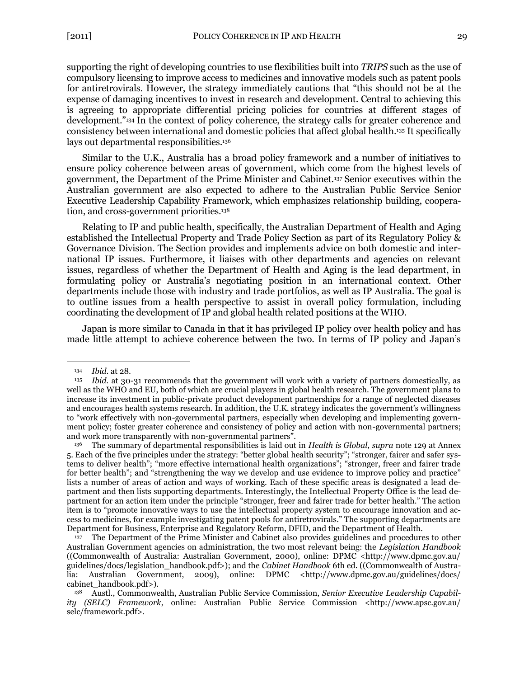supporting the right of developing countries to use flexibilities built into *TRIPS* such as the use of compulsory licensing to improve access to medicines and innovative models such as patent pools for antiretrovirals. However, the strategy immediately cautions that "this should not be at the expense of damaging incentives to invest in research and development. Central to achieving this is agreeing to appropriate differential pricing policies for countries at different stages of development."<sup>134</sup> In the context of policy coherence, the strategy calls for greater coherence and consistency between international and domestic policies that affect global health.<sup>135</sup> It specifically lays out departmental responsibilities.<sup>136</sup>

Similar to the U.K., Australia has a broad policy framework and a number of initiatives to ensure policy coherence between areas of government, which come from the highest levels of government, the Department of the Prime Minister and Cabinet.<sup>137</sup> Senior executives within the Australian government are also expected to adhere to the Australian Public Service Senior Executive Leadership Capability Framework, which emphasizes relationship building, cooperation, and cross-government priorities.<sup>138</sup>

<span id="page-26-0"></span>Relating to IP and public health, specifically, the Australian Department of Health and Aging established the Intellectual Property and Trade Policy Section as part of its Regulatory Policy & Governance Division. The Section provides and implements advice on both domestic and international IP issues. Furthermore, it liaises with other departments and agencies on relevant issues, regardless of whether the Department of Health and Aging is the lead department, in formulating policy or Australia's negotiating position in an international context. Other departments include those with industry and trade portfolios, as well as IP Australia. The goal is to outline issues from a health perspective to assist in overall policy formulation, including coordinating the development of IP and global health related positions at the WHO.

Japan is more similar to Canada in that it has privileged IP policy over health policy and has made little attempt to achieve coherence between the two. In terms of IP policy and Japan's

<sup>134</sup> *Ibid*. at 28.

<sup>135</sup> *Ibid.* at 30-31 recommends that the government will work with a variety of partners domestically, as well as the WHO and EU, both of which are crucial players in global health research. The government plans to increase its investment in public-private product development partnerships for a range of neglected diseases and encourages health systems research. In addition, the U.K. strategy indicates the government's willingness to "work effectively with non-governmental partners, especially when developing and implementing government policy; foster greater coherence and consistency of policy and action with non-governmental partners; and work more transparently with non-governmental partners".

<sup>136</sup> The summary of departmental responsibilities is laid out in *Health is Global, supra* not[e 129](#page-25-0) at Annex 5. Each of the five principles under the strategy: "better global health security"; "stronger, fairer and safer systems to deliver health"; "more effective international health organizations"; "stronger, freer and fairer trade for better health"; and "strengthening the way we develop and use evidence to improve policy and practice" lists a number of areas of action and ways of working. Each of these specific areas is designated a lead department and then lists supporting departments. Interestingly, the Intellectual Property Office is the lead department for an action item under the principle "stronger, freer and fairer trade for better health." The action item is to "promote innovative ways to use the intellectual property system to encourage innovation and access to medicines, for example investigating patent pools for antiretrovirals.‖ The supporting departments are Department for Business, Enterprise and Regulatory Reform, DFID, and the Department of Health.

<sup>&</sup>lt;sup>137</sup> The Department of the Prime Minister and Cabinet also provides guidelines and procedures to other Australian Government agencies on administration, the two most relevant being: the *Legislation Handbook* ((Commonwealth of Australia: Australian Government, 2000), online: DPMC <http://www.dpmc.gov.au/ guidelines/docs/legislation\_handbook.pdf>); and the *Cabinet Handbook* 6th ed. ((Commonwealth of Australia: Australian Government, 2009), online: DPMC <http://www.dpmc.gov.au/guidelines/docs/ cabinet\_handbook.pdf>).

<sup>138</sup> Austl., Commonwealth, Australian Public Service Commission, *Senior Executive Leadership Capability (SELC) Framework*, online: Australian Public Service Commission <http://www.apsc.gov.au/ selc/framework.pdf>.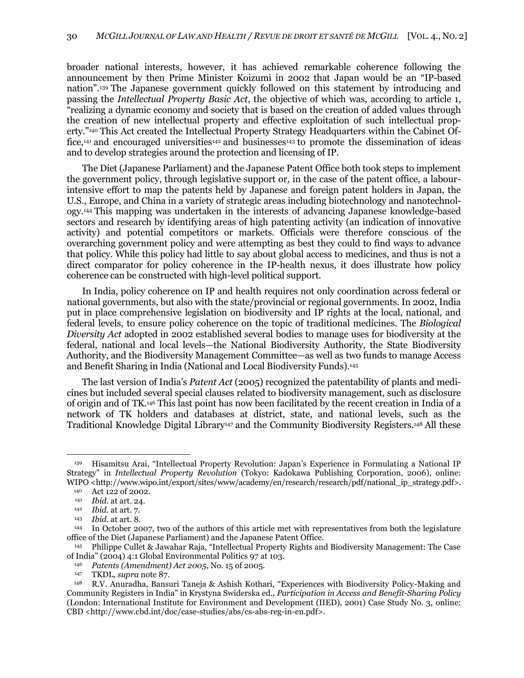broader national interests, however, it has achieved remarkable coherence following the announcement by then Prime Minister Koizumi in 2002 that Japan would be an "IP-based" nation".<sup>139</sup> The Japanese government quickly followed on this statement by introducing and passing the *Intellectual Property Basic Act*, the objective of which was, according to article 1, ―realizing a dynamic economy and society that is based on the creation of added values through the creation of new intellectual property and effective exploitation of such intellectual property."<sup>140</sup> This Act created the Intellectual Property Strategy Headquarters within the Cabinet Office,<sup>141</sup> and encouraged universities<sup>142</sup> and businesses<sup>143</sup> to promote the dissemination of ideas and to develop strategies around the protection and licensing of IP.

The Diet (Japanese Parliament) and the Japanese Patent Office both took steps to implement the government policy, through legislative support or, in the case of the patent office, a labourintensive effort to map the patents held by Japanese and foreign patent holders in Japan, the U.S., Europe, and China in a variety of strategic areas including biotechnology and nanotechnology.<sup>144</sup> This mapping was undertaken in the interests of advancing Japanese knowledge-based sectors and research by identifying areas of high patenting activity (an indication of innovative activity) and potential competitors or markets. Officials were therefore conscious of the overarching government policy and were attempting as best they could to find ways to advance that policy. While this policy had little to say about global access to medicines, and thus is not a direct comparator for policy coherence in the IP-health nexus, it does illustrate how policy coherence can be constructed with high-level political support.

In India, policy coherence on IP and health requires not only coordination across federal or national governments, but also with the state/provincial or regional governments. In 2002, India put in place comprehensive legislation on biodiversity and IP rights at the local, national, and federal levels, to ensure policy coherence on the topic of traditional medicines. The *Biological Diversity Act* adopted in 2002 established several bodies to manage uses for biodiversity at the federal, national and local levels—the National Biodiversity Authority, the State Biodiversity Authority, and the Biodiversity Management Committee—as well as two funds to manage Access and Benefit Sharing in India (National and Local Biodiversity Funds).<sup>145</sup>

<span id="page-27-0"></span>The last version of India's *Patent Act* (2005) recognized the patentability of plants and medicines but included several special clauses related to biodiversity management, such as disclosure of origin and of TK.<sup>146</sup> This last point has now been facilitated by the recent creation in India of a network of TK holders and databases at district, state, and national levels, such as the Traditional Knowledge Digital Library<sup>147</sup> and the Community Biodiversity Registers.<sup>148</sup> All these

Hisamitsu Arai, "Intellectual Property Revolution: Japan's Experience in Formulating a National IP Strategy‖ in *Intellectual Property Revolution* (Tokyo: Kadokawa Publishing Corporation, 2006), online: WIPO <http://www.wipo.int/export/sites/www/academy/en/research/research/pdf/national\_ip\_strategy.pdf>.

<sup>140</sup> Act 122 of 2002.

<sup>141</sup> *Ibid*. at art. 24.

<sup>142</sup> *Ibid.* at art. 7.

<sup>143</sup> *Ibid.* at art. 8.

<sup>144</sup> In October 2007, two of the authors of this article met with representatives from both the legislature office of the Diet (Japanese Parliament) and the Japanese Patent Office.

Philippe Cullet & Jawahar Raja, "Intellectual Property Rights and Biodiversity Management: The Case of India‖ (2004) 4:1 Global Environmental Politics 97 at 103.

<sup>146</sup> *Patents (Amendment) Act 2005*, No. 15 of 2005.

<sup>147</sup> TKDL, *supra* not[e 87.](#page-17-2)

<sup>148</sup> R.V. Anuradha, Bansuri Taneja & Ashish Kothari, "Experiences with Biodiversity Policy-Making and Community Registers in India‖ in Krystyna Swiderska ed., *Participation in Access and Benefit-Sharing Policy* (London: International Institute for Environment and Development (IIED), 2001) Case Study No. 3, online: CBD <http://www.cbd.int/doc/case-studies/abs/cs-abs-reg-in-en.pdf>.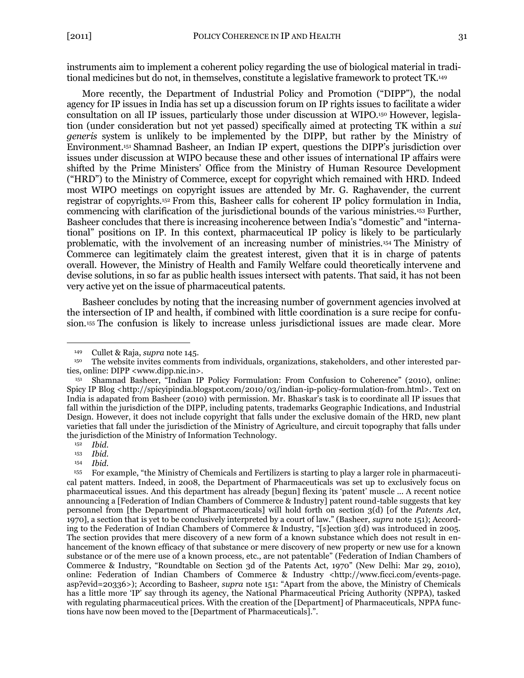instruments aim to implement a coherent policy regarding the use of biological material in traditional medicines but do not, in themselves, constitute a legislative framework to protect TK.<sup>149</sup>

<span id="page-28-0"></span>More recently, the Department of Industrial Policy and Promotion ("DIPP"), the nodal agency for IP issues in India has set up a discussion forum on IP rights issues to facilitate a wider consultation on all IP issues, particularly those under discussion at WIPO.<sup>150</sup> However, legislation (under consideration but not yet passed) specifically aimed at protecting TK within a *sui generis* system is unlikely to be implemented by the DIPP, but rather by the Ministry of Environment.<sup>151</sup> Shamnad Basheer, an Indian IP expert, questions the DIPP's jurisdiction over issues under discussion at WIPO because these and other issues of international IP affairs were shifted by the Prime Ministers' Office from the Ministry of Human Resource Development (―HRD‖) to the Ministry of Commerce, except for copyright which remained with HRD. Indeed most WIPO meetings on copyright issues are attended by Mr. G. Raghavender, the current registrar of copyrights.<sup>152</sup> From this, Basheer calls for coherent IP policy formulation in India, commencing with clarification of the jurisdictional bounds of the various ministries.<sup>153</sup> Further, Basheer concludes that there is increasing incoherence between India's "domestic" and "international‖ positions on IP. In this context, pharmaceutical IP policy is likely to be particularly problematic, with the involvement of an increasing number of ministries.<sup>154</sup> The Ministry of Commerce can legitimately claim the greatest interest, given that it is in charge of patents overall. However, the Ministry of Health and Family Welfare could theoretically intervene and devise solutions, in so far as public health issues intersect with patents. That said, it has not been very active yet on the issue of pharmaceutical patents.

Basheer concludes by noting that the increasing number of government agencies involved at the intersection of IP and health, if combined with little coordination is a sure recipe for confusion.<sup>155</sup> The confusion is likely to increase unless jurisdictional issues are made clear. More

<sup>149</sup> Cullet & Raja, *supra* not[e 145.](#page-27-0)

<sup>150</sup> The website invites comments from individuals, organizations, stakeholders, and other interested parties, online: DIPP <www.dipp.nic.in>.

Shamnad Basheer, "Indian IP Policy Formulation: From Confusion to Coherence" (2010), online: Spicy IP Blog <http://spicyipindia.blogspot.com/2010/03/indian-ip-policy-formulation-from.html>. Text on India is adapated from Basheer (2010) with permission. Mr. Bhaskar's task is to coordinate all IP issues that fall within the jurisdiction of the DIPP, including patents, trademarks Geographic Indications, and Industrial Design. However, it does not include copyright that falls under the exclusive domain of the HRD, new plant varieties that fall under the jurisdiction of the Ministry of Agriculture, and circuit topography that falls under the jurisdiction of the Ministry of Information Technology.

<sup>152</sup> *Ibid*.

<sup>153</sup> *Ibid*.

<sup>154</sup> *Ibid*.

<sup>&</sup>lt;sup>155</sup> For example, "the Ministry of Chemicals and Fertilizers is starting to play a larger role in pharmaceutical patent matters. Indeed, in 2008, the Department of Pharmaceuticals was set up to exclusively focus on pharmaceutical issues. And this department has already [begun] flexing its ‗patent' muscle ... A recent notice announcing a [Federation of Indian Chambers of Commerce & Industry] patent round-table suggests that key personnel from [the Department of Pharmaceuticals] will hold forth on section 3(d) [of the *Patents Act*, 1970], a section that is yet to be conclusively interpreted by a court of law.‖ (Basheer, *supra* not[e 151\)](#page-28-0); According to the Federation of Indian Chambers of Commerce & Industry, "[s]ection 3(d) was introduced in 2005. The section provides that mere discovery of a new form of a known substance which does not result in enhancement of the known efficacy of that substance or mere discovery of new property or new use for a known substance or of the mere use of a known process, etc., are not patentable" (Federation of Indian Chambers of Commerce & Industry, "Roundtable on Section 3d of the Patents Act, 1970" (New Delhi: Mar 29, 2010), online: Federation of Indian Chambers of Commerce & Industry <http://www.ficci.com/events-page. asp?evid=20336>); According to Basheer, *supra* note [151](#page-28-0): "Apart from the above, the Ministry of Chemicals has a little more 'IP' say through its agency, the National Pharmaceutical Pricing Authority (NPPA), tasked with regulating pharmaceutical prices. With the creation of the [Department] of Pharmaceuticals, NPPA functions have now been moved to the [Department of Pharmaceuticals].".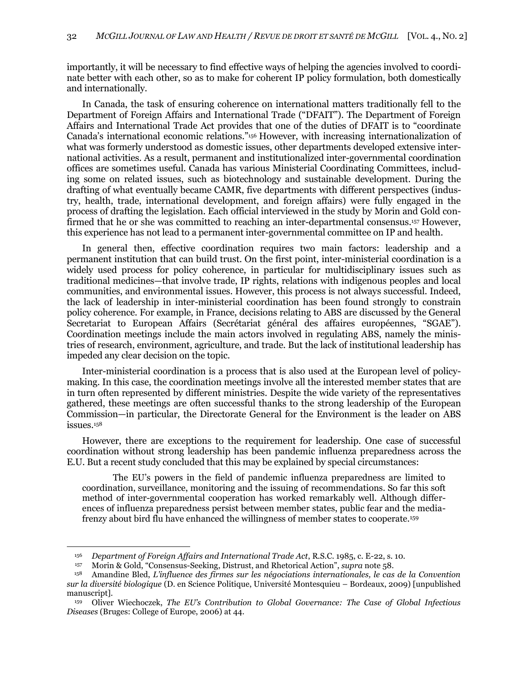importantly, it will be necessary to find effective ways of helping the agencies involved to coordinate better with each other, so as to make for coherent IP policy formulation, both domestically and internationally.

In Canada, the task of ensuring coherence on international matters traditionally fell to the Department of Foreign Affairs and International Trade ("DFAIT"). The Department of Foreign Affairs and International Trade Act provides that one of the duties of DFAIT is to "coordinate Canada's international economic relations."<sup>156</sup> However, with increasing internationalization of what was formerly understood as domestic issues, other departments developed extensive international activities. As a result, permanent and institutionalized inter-governmental coordination offices are sometimes useful. Canada has various Ministerial Coordinating Committees, including some on related issues, such as biotechnology and sustainable development. During the drafting of what eventually became CAMR, five departments with different perspectives (industry, health, trade, international development, and foreign affairs) were fully engaged in the process of drafting the legislation. Each official interviewed in the study by Morin and Gold confirmed that he or she was committed to reaching an inter-departmental consensus.<sup>157</sup> However, this experience has not lead to a permanent inter-governmental committee on IP and health.

In general then, effective coordination requires two main factors: leadership and a permanent institution that can build trust. On the first point, inter-ministerial coordination is a widely used process for policy coherence, in particular for multidisciplinary issues such as traditional medicines—that involve trade, IP rights, relations with indigenous peoples and local communities, and environmental issues. However, this process is not always successful. Indeed, the lack of leadership in inter-ministerial coordination has been found strongly to constrain policy coherence. For example, in France, decisions relating to ABS are discussed by the General Secretariat to European Affairs (Secrétariat général des affaires européennes, "SGAE"). Coordination meetings include the main actors involved in regulating ABS, namely the ministries of research, environment, agriculture, and trade. But the lack of institutional leadership has impeded any clear decision on the topic.

Inter-ministerial coordination is a process that is also used at the European level of policymaking. In this case, the coordination meetings involve all the interested member states that are in turn often represented by different ministries. Despite the wide variety of the representatives gathered, these meetings are often successful thanks to the strong leadership of the European Commission—in particular, the Directorate General for the Environment is the leader on ABS issues.<sup>158</sup>

However, there are exceptions to the requirement for leadership. One case of successful coordination without strong leadership has been pandemic influenza preparedness across the E.U. But a recent study concluded that this may be explained by special circumstances:

The EU's powers in the field of pandemic influenza preparedness are limited to coordination, surveillance, monitoring and the issuing of recommendations. So far this soft method of inter-governmental cooperation has worked remarkably well. Although differences of influenza preparedness persist between member states, public fear and the mediafrenzy about bird flu have enhanced the willingness of member states to cooperate.<sup>159</sup>

<sup>156</sup> *Department of Foreign Affairs and International Trade Act*, R.S.C. 1985, c. E-22, s. 10.

<sup>157</sup> Morin & Gold, "Consensus-Seeking, Distrust, and Rhetorical Action", *supra* note [58.](#page-11-1)

<sup>158</sup> Amandine Bled, *L'influence des firmes sur les négociations internationales, le cas de la Convention sur la diversité biologique* (D. en Science Politique, Université Montesquieu – Bordeaux, 2009) [unpublished manuscript].

<sup>159</sup> Oliver Wiechoczek, *The EU's Contribution to Global Governance: The Case of Global Infectious Diseases* (Bruges: College of Europe, 2006) at 44.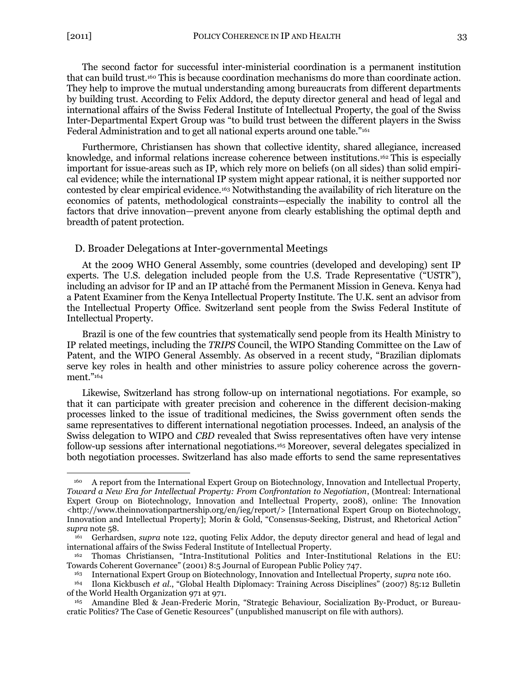$\overline{a}$ 

<span id="page-30-1"></span>The second factor for successful inter-ministerial coordination is a permanent institution that can build trust.<sup>160</sup> This is because coordination mechanisms do more than coordinate action. They help to improve the mutual understanding among bureaucrats from different departments by building trust. According to Felix Addord, the deputy director general and head of legal and international affairs of the Swiss Federal Institute of Intellectual Property, the goal of the Swiss Inter-Departmental Expert Group was "to build trust between the different players in the Swiss Federal Administration and to get all national experts around one table."<sup>161</sup>

<span id="page-30-2"></span>Furthermore, Christiansen has shown that collective identity, shared allegiance, increased knowledge, and informal relations increase coherence between institutions.<sup>162</sup> This is especially important for issue-areas such as IP, which rely more on beliefs (on all sides) than solid empirical evidence; while the international IP system might appear rational, it is neither supported nor contested by clear empirical evidence.<sup>163</sup> Notwithstanding the availability of rich literature on the economics of patents, methodological constraints—especially the inability to control all the factors that drive innovation—prevent anyone from clearly establishing the optimal depth and breadth of patent protection.

### <span id="page-30-0"></span>D. Broader Delegations at Inter-governmental Meetings

At the 2009 WHO General Assembly, some countries (developed and developing) sent IP experts. The U.S. delegation included people from the U.S. Trade Representative ("USTR"), including an advisor for IP and an IP attaché from the Permanent Mission in Geneva. Kenya had a Patent Examiner from the Kenya Intellectual Property Institute. The U.K. sent an advisor from the Intellectual Property Office. Switzerland sent people from the Swiss Federal Institute of Intellectual Property.

Brazil is one of the few countries that systematically send people from its Health Ministry to IP related meetings, including the *TRIPS* Council, the WIPO Standing Committee on the Law of Patent, and the WIPO General Assembly. As observed in a recent study, "Brazilian diplomats serve key roles in health and other ministries to assure policy coherence across the government."164

<span id="page-30-3"></span>Likewise, Switzerland has strong follow-up on international negotiations. For example, so that it can participate with greater precision and coherence in the different decision-making processes linked to the issue of traditional medicines, the Swiss government often sends the same representatives to different international negotiation processes. Indeed, an analysis of the Swiss delegation to WIPO and *CBD* revealed that Swiss representatives often have very intense follow-up sessions after international negotiations.<sup>165</sup> Moreover, several delegates specialized in both negotiation processes. Switzerland has also made efforts to send the same representatives

<sup>160</sup> A report from the International Expert Group on Biotechnology, Innovation and Intellectual Property, *Toward a New Era for Intellectual Property: From Confrontation to Negotiation*, (Montreal: International Expert Group on Biotechnology, Innovation and Intellectual Property, 2008), online: The Innovation <http://www.theinnovationpartnership.org/en/ieg/report/> [International Expert Group on Biotechnology, Innovation and Intellectual Property]; Morin & Gold, "Consensus-Seeking, Distrust, and Rhetorical Action" *supra* note [58.](#page-11-1)

<sup>161</sup> Gerhardsen, *supra* note [122,](#page-24-1) quoting Felix Addor, the deputy director general and head of legal and international affairs of the Swiss Federal Institute of Intellectual Property.

Thomas Christiansen, "Intra-Institutional Politics and Inter-Institutional Relations in the EU: Towards Coherent Governance" (2001) 8:5 Journal of European Public Policy 747.

<sup>163</sup> International Expert Group on Biotechnology, Innovation and Intellectual Property, *supra* note [160.](#page-30-1)

<sup>&</sup>lt;sup>164</sup> Ilona Kickbusch *et al.*, "Global Health Diplomacy: Training Across Disciplines" (2007) 85:12 Bulletin of the World Health Organization 971 at 971.

<sup>165</sup> Amandine Bled & Jean-Frederic Morin, "Strategic Behaviour, Socialization By-Product, or Bureaucratic Politics? The Case of Genetic Resources‖ (unpublished manuscript on file with authors).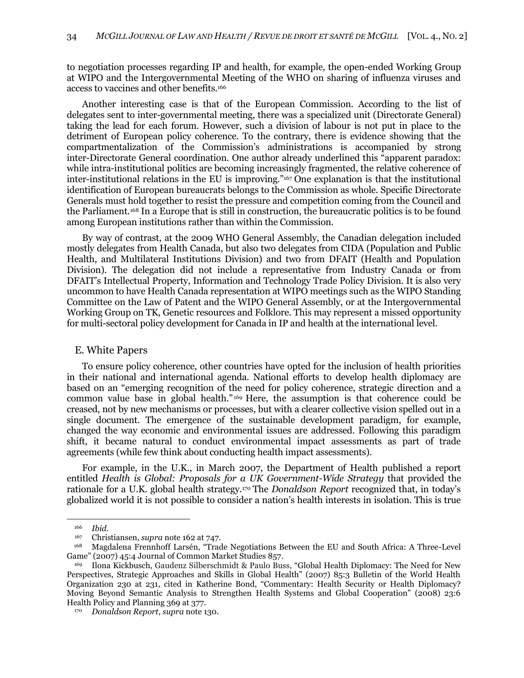to negotiation processes regarding IP and health, for example, the open-ended Working Group at WIPO and the Intergovernmental Meeting of the WHO on sharing of influenza viruses and access to vaccines and other benefits.<sup>166</sup>

Another interesting case is that of the European Commission. According to the list of delegates sent to inter-governmental meeting, there was a specialized unit (Directorate General) taking the lead for each forum. However, such a division of labour is not put in place to the detriment of European policy coherence. To the contrary, there is evidence showing that the compartmentalization of the Commission's administrations is accompanied by strong inter-Directorate General coordination. One author already underlined this "apparent paradox: while intra-institutional politics are becoming increasingly fragmented, the relative coherence of inter-institutional relations in the EU is improving."<sup>167</sup> One explanation is that the institutional identification of European bureaucrats belongs to the Commission as whole. Specific Directorate Generals must hold together to resist the pressure and competition coming from the Council and the Parliament.<sup>168</sup> In a Europe that is still in construction, the bureaucratic politics is to be found among European institutions rather than within the Commission.

By way of contrast, at the 2009 WHO General Assembly, the Canadian delegation included mostly delegates from Health Canada, but also two delegates from CIDA (Population and Public Health, and Multilateral Institutions Division) and two from DFAIT (Health and Population Division). The delegation did not include a representative from Industry Canada or from DFAIT's Intellectual Property, Information and Technology Trade Policy Division. It is also very uncommon to have Health Canada representation at WIPO meetings such as the WIPO Standing Committee on the Law of Patent and the WIPO General Assembly, or at the Intergovernmental Working Group on TK, Genetic resources and Folklore. This may represent a missed opportunity for multi-sectoral policy development for Canada in IP and health at the international level.

### <span id="page-31-0"></span>E. White Papers

To ensure policy coherence, other countries have opted for the inclusion of health priorities in their national and international agenda. National efforts to develop health diplomacy are based on an "emerging recognition of the need for policy coherence, strategic direction and a common value base in global health."<sup>169</sup> Here, the assumption is that coherence could be creased, not by new mechanisms or processes, but with a clearer collective vision spelled out in a single document. The emergence of the sustainable development paradigm, for example, changed the way economic and environmental issues are addressed. Following this paradigm shift, it became natural to conduct environmental impact assessments as part of trade agreements (while few think about conducting health impact assessments).

For example, in the U.K., in March 2007, the Department of Health published a report entitled *Health is Global: Proposals for a UK Government-Wide Strategy* that provided the rationale for a U.K. global health strategy.<sup>170</sup> The *Donaldson Report* recognized that, in today's globalized world it is not possible to consider a nation's health interests in isolation. This is true

<sup>166</sup> *Ibid*.

<sup>167</sup> Christiansen, *supra* not[e 162](#page-30-2) at 747.

<sup>168</sup> Magdalena Frennhoff Larsén, "Trade Negotiations Between the EU and South Africa: A Three-Level Game" (2007) 45:4 Journal of Common Market Studies 857.

<sup>169</sup> Ilona Kickbusch, Gaudenz Silberschmidt & Paulo Buss, "Global Health Diplomacy: The Need for New Perspectives, Strategic Approaches and Skills in Global Health" (2007) 85:3 Bulletin of the World Health Organization 230 at 231, cited in Katherine Bond, "Commentary: Health Security or Health Diplomacy? Moving Beyond Semantic Analysis to Strengthen Health Systems and Global Cooperation" (2008) 23:6 Health Policy and Planning 369 at 377.

<sup>170</sup> *Donaldson Report*, *supra* note [130.](#page-25-1)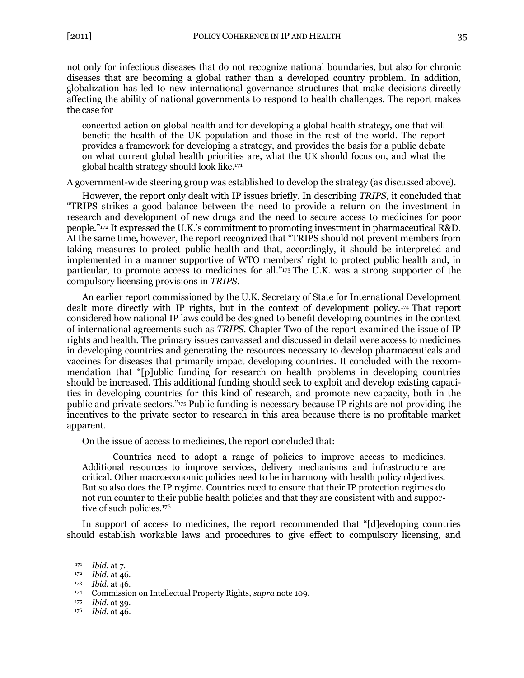not only for infectious diseases that do not recognize national boundaries, but also for chronic diseases that are becoming a global rather than a developed country problem. In addition, globalization has led to new international governance structures that make decisions directly affecting the ability of national governments to respond to health challenges. The report makes the case for

concerted action on global health and for developing a global health strategy, one that will benefit the health of the UK population and those in the rest of the world. The report provides a framework for developing a strategy, and provides the basis for a public debate on what current global health priorities are, what the UK should focus on, and what the global health strategy should look like.<sup>171</sup>

A government-wide steering group was established to develop the strategy (as discussed above).

However, the report only dealt with IP issues briefly. In describing *TRIPS*, it concluded that ―TRIPS strikes a good balance between the need to provide a return on the investment in research and development of new drugs and the need to secure access to medicines for poor people.‖<sup>172</sup> It expressed the U.K.'s commitment to promoting investment in pharmaceutical R&D. At the same time, however, the report recognized that "TRIPS should not prevent members from taking measures to protect public health and that, accordingly, it should be interpreted and implemented in a manner supportive of WTO members' right to protect public health and, in particular, to promote access to medicines for all."<sup>173</sup> The U.K. was a strong supporter of the compulsory licensing provisions in *TRIPS*.

An earlier report commissioned by the U.K. Secretary of State for International Development dealt more directly with IP rights, but in the context of development policy.<sup>174</sup> That report considered how national IP laws could be designed to benefit developing countries in the context of international agreements such as *TRIPS*. Chapter Two of the report examined the issue of IP rights and health. The primary issues canvassed and discussed in detail were access to medicines in developing countries and generating the resources necessary to develop pharmaceuticals and vaccines for diseases that primarily impact developing countries. It concluded with the recommendation that "[p]ublic funding for research on health problems in developing countries should be increased. This additional funding should seek to exploit and develop existing capacities in developing countries for this kind of research, and promote new capacity, both in the public and private sectors.‖<sup>175</sup> Public funding is necessary because IP rights are not providing the incentives to the private sector to research in this area because there is no profitable market apparent.

On the issue of access to medicines, the report concluded that:

Countries need to adopt a range of policies to improve access to medicines. Additional resources to improve services, delivery mechanisms and infrastructure are critical. Other macroeconomic policies need to be in harmony with health policy objectives. But so also does the IP regime. Countries need to ensure that their IP protection regimes do not run counter to their public health policies and that they are consistent with and supportive of such policies.<sup>176</sup>

In support of access to medicines, the report recommended that "[d]eveloping countries should establish workable laws and procedures to give effect to compulsory licensing, and

<sup>171</sup> *Ibid.* at 7.

<sup>172</sup> *Ibid.* at 46.

<sup>173</sup> *Ibid.* at 46.

<sup>174</sup> Commission on Intellectual Property Rights, *supra* note [109.](#page-22-0)

<sup>175</sup> *Ibid*. at 39.

<sup>176</sup> *Ibid.* at 46.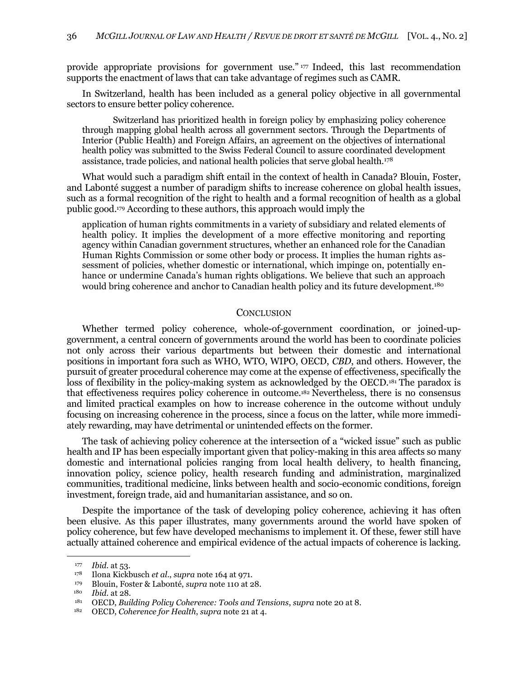provide appropriate provisions for government use." $177$  Indeed, this last recommendation supports the enactment of laws that can take advantage of regimes such as CAMR.

In Switzerland, health has been included as a general policy objective in all governmental sectors to ensure better policy coherence.

Switzerland has prioritized health in foreign policy by emphasizing policy coherence through mapping global health across all government sectors. Through the Departments of Interior (Public Health) and Foreign Affairs, an agreement on the objectives of international health policy was submitted to the Swiss Federal Council to assure coordinated development assistance, trade policies, and national health policies that serve global health.<sup>178</sup>

What would such a paradigm shift entail in the context of health in Canada? Blouin, Foster, and Labonté suggest a number of paradigm shifts to increase coherence on global health issues, such as a formal recognition of the right to health and a formal recognition of health as a global public good.<sup>179</sup> According to these authors, this approach would imply the

application of human rights commitments in a variety of subsidiary and related elements of health policy. It implies the development of a more effective monitoring and reporting agency within Canadian government structures, whether an enhanced role for the Canadian Human Rights Commission or some other body or process. It implies the human rights assessment of policies, whether domestic or international, which impinge on, potentially enhance or undermine Canada's human rights obligations. We believe that such an approach would bring coherence and anchor to Canadian health policy and its future development.<sup>180</sup>

#### **CONCLUSION**

<span id="page-33-0"></span>Whether termed policy coherence, whole-of-government coordination, or joined-upgovernment, a central concern of governments around the world has been to coordinate policies not only across their various departments but between their domestic and international positions in important fora such as WHO, WTO, WIPO, OECD, *CBD*, and others. However, the pursuit of greater procedural coherence may come at the expense of effectiveness, specifically the loss of flexibility in the policy-making system as acknowledged by the OECD.<sup>181</sup> The paradox is that effectiveness requires policy coherence in outcome.<sup>182</sup> Nevertheless, there is no consensus and limited practical examples on how to increase coherence in the outcome without unduly focusing on increasing coherence in the process, since a focus on the latter, while more immediately rewarding, may have detrimental or unintended effects on the former.

The task of achieving policy coherence at the intersection of a "wicked issue" such as public health and IP has been especially important given that policy-making in this area affects so many domestic and international policies ranging from local health delivery, to health financing, innovation policy, science policy, health research funding and administration, marginalized communities, traditional medicine, links between health and socio-economic conditions, foreign investment, foreign trade, aid and humanitarian assistance, and so on.

Despite the importance of the task of developing policy coherence, achieving it has often been elusive. As this paper illustrates, many governments around the world have spoken of policy coherence, but few have developed mechanisms to implement it. Of these, fewer still have actually attained coherence and empirical evidence of the actual impacts of coherence is lacking.

<sup>177</sup> *Ibid*. at 53.

<sup>178</sup> Ilona Kickbusch *et al*., *supra* note [164](#page-30-3) at 971.

<sup>179</sup> Blouin, Foster & Labonté, *supra* not[e 110](#page-22-1) at 28.

<sup>180</sup> *Ibid*. at 28.

<sup>181</sup> OECD, *Building Policy Coherence: Tools and Tensions*, *supra* not[e 20](#page-5-3) at 8.

<sup>182</sup> OECD, *Coherence for Health*, *supra* note [21](#page-6-1) at 4.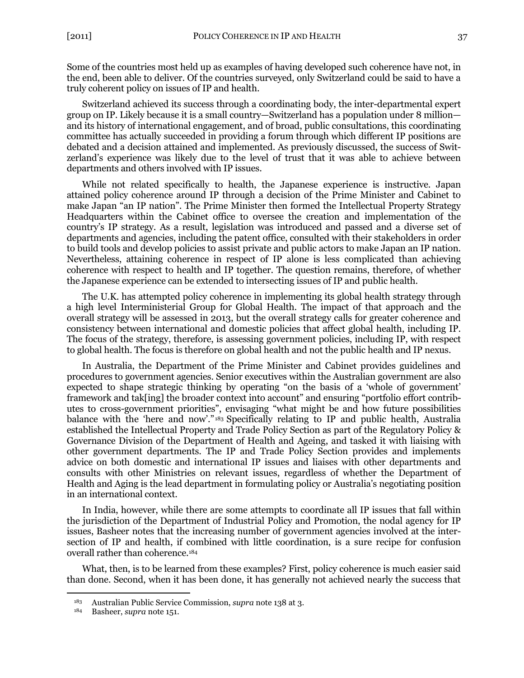Some of the countries most held up as examples of having developed such coherence have not, in the end, been able to deliver. Of the countries surveyed, only Switzerland could be said to have a truly coherent policy on issues of IP and health.

Switzerland achieved its success through a coordinating body, the inter-departmental expert group on IP. Likely because it is a small country—Switzerland has a population under 8 million and its history of international engagement, and of broad, public consultations, this coordinating committee has actually succeeded in providing a forum through which different IP positions are debated and a decision attained and implemented. As previously discussed, the success of Switzerland's experience was likely due to the level of trust that it was able to achieve between departments and others involved with IP issues.

While not related specifically to health, the Japanese experience is instructive. Japan attained policy coherence around IP through a decision of the Prime Minister and Cabinet to make Japan "an IP nation". The Prime Minister then formed the Intellectual Property Strategy Headquarters within the Cabinet office to oversee the creation and implementation of the country's IP strategy. As a result, legislation was introduced and passed and a diverse set of departments and agencies, including the patent office, consulted with their stakeholders in order to build tools and develop policies to assist private and public actors to make Japan an IP nation. Nevertheless, attaining coherence in respect of IP alone is less complicated than achieving coherence with respect to health and IP together. The question remains, therefore, of whether the Japanese experience can be extended to intersecting issues of IP and public health.

The U.K. has attempted policy coherence in implementing its global health strategy through a high level Interministerial Group for Global Health. The impact of that approach and the overall strategy will be assessed in 2013, but the overall strategy calls for greater coherence and consistency between international and domestic policies that affect global health, including IP. The focus of the strategy, therefore, is assessing government policies, including IP, with respect to global health. The focus is therefore on global health and not the public health and IP nexus.

In Australia, the Department of the Prime Minister and Cabinet provides guidelines and procedures to government agencies. Senior executives within the Australian government are also expected to shape strategic thinking by operating "on the basis of a 'whole of government' framework and tak[ing] the broader context into account" and ensuring "portfolio effort contributes to cross-government priorities", envisaging "what might be and how future possibilities balance with the 'here and now'."<sup>183</sup> Specifically relating to IP and public health, Australia established the Intellectual Property and Trade Policy Section as part of the Regulatory Policy & Governance Division of the Department of Health and Ageing, and tasked it with liaising with other government departments. The IP and Trade Policy Section provides and implements advice on both domestic and international IP issues and liaises with other departments and consults with other Ministries on relevant issues, regardless of whether the Department of Health and Aging is the lead department in formulating policy or Australia's negotiating position in an international context.

In India, however, while there are some attempts to coordinate all IP issues that fall within the jurisdiction of the Department of Industrial Policy and Promotion, the nodal agency for IP issues, Basheer notes that the increasing number of government agencies involved at the intersection of IP and health, if combined with little coordination, is a sure recipe for confusion overall rather than coherence.<sup>184</sup>

What, then, is to be learned from these examples? First, policy coherence is much easier said than done. Second, when it has been done, it has generally not achieved nearly the success that

<sup>183</sup> Australian Public Service Commission, *supra* note [138](#page-26-0) at 3.

<sup>184</sup> Basheer, *supra* note [151.](#page-28-0)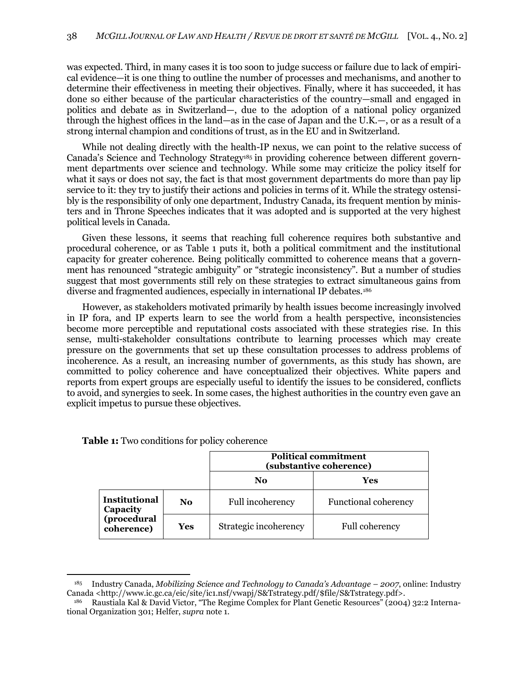was expected. Third, in many cases it is too soon to judge success or failure due to lack of empirical evidence—it is one thing to outline the number of processes and mechanisms, and another to determine their effectiveness in meeting their objectives. Finally, where it has succeeded, it has done so either because of the particular characteristics of the country—small and engaged in politics and debate as in Switzerland—, due to the adoption of a national policy organized through the highest offices in the land—as in the case of Japan and the U.K.—, or as a result of a strong internal champion and conditions of trust, as in the EU and in Switzerland.

While not dealing directly with the health-IP nexus, we can point to the relative success of Canada's Science and Technology Strategy<sup>185</sup> in providing coherence between different government departments over science and technology. While some may criticize the policy itself for what it says or does not say, the fact is that most government departments do more than pay lip service to it: they try to justify their actions and policies in terms of it. While the strategy ostensibly is the responsibility of only one department, Industry Canada, its frequent mention by ministers and in Throne Speeches indicates that it was adopted and is supported at the very highest political levels in Canada.

Given these lessons, it seems that reaching full coherence requires both substantive and procedural coherence, or as Table 1 puts it, both a political commitment and the institutional capacity for greater coherence. Being politically committed to coherence means that a government has renounced "strategic ambiguity" or "strategic inconsistency". But a number of studies suggest that most governments still rely on these strategies to extract simultaneous gains from diverse and fragmented audiences, especially in international IP debates.<sup>186</sup>

However, as stakeholders motivated primarily by health issues become increasingly involved in IP fora, and IP experts learn to see the world from a health perspective, inconsistencies become more perceptible and reputational costs associated with these strategies rise. In this sense, multi-stakeholder consultations contribute to learning processes which may create pressure on the governments that set up these consultation processes to address problems of incoherence. As a result, an increasing number of governments, as this study has shown, are committed to policy coherence and have conceptualized their objectives. White papers and reports from expert groups are especially useful to identify the issues to be considered, conflicts to avoid, and synergies to seek. In some cases, the highest authorities in the country even gave an explicit impetus to pursue these objectives.

|                                                               |     | <b>Political commitment</b><br>(substantive coherence) |                             |
|---------------------------------------------------------------|-----|--------------------------------------------------------|-----------------------------|
|                                                               |     | No                                                     | Yes                         |
| <b>Institutional</b><br>Capacity<br>(procedural<br>coherence) | No  | Full incoherency                                       | <b>Functional coherency</b> |
|                                                               | Yes | Strategic incoherency                                  | <b>Full coherency</b>       |

**Table 1:** Two conditions for policy coherence

<sup>185</sup> Industry Canada, *Mobilizing Science and Technology to Canada's Advantage – 2007*, online: Industry Canada <http://www.ic.gc.ca/eic/site/ic1.nsf/vwapj/S&Tstrategy.pdf/\$file/S&Tstrategy.pdf>.

Raustiala Kal & David Victor, "The Regime Complex for Plant Genetic Resources" (2004) 32:2 International Organization 301; Helfer, *supra* not[e 1.](#page-2-1)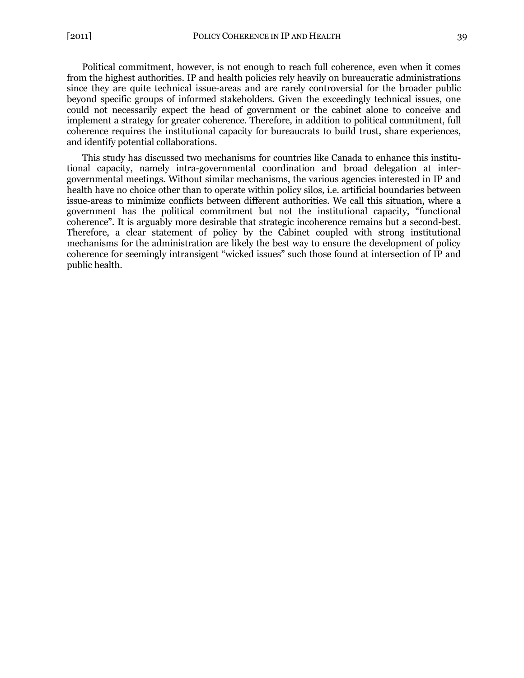Political commitment, however, is not enough to reach full coherence, even when it comes from the highest authorities. IP and health policies rely heavily on bureaucratic administrations since they are quite technical issue-areas and are rarely controversial for the broader public beyond specific groups of informed stakeholders. Given the exceedingly technical issues, one could not necessarily expect the head of government or the cabinet alone to conceive and implement a strategy for greater coherence. Therefore, in addition to political commitment, full coherence requires the institutional capacity for bureaucrats to build trust, share experiences, and identify potential collaborations.

This study has discussed two mechanisms for countries like Canada to enhance this institutional capacity, namely intra-governmental coordination and broad delegation at intergovernmental meetings. Without similar mechanisms, the various agencies interested in IP and health have no choice other than to operate within policy silos, i.e. artificial boundaries between issue-areas to minimize conflicts between different authorities. We call this situation, where a government has the political commitment but not the institutional capacity, "functional coherence‖. It is arguably more desirable that strategic incoherence remains but a second-best. Therefore, a clear statement of policy by the Cabinet coupled with strong institutional mechanisms for the administration are likely the best way to ensure the development of policy coherence for seemingly intransigent "wicked issues" such those found at intersection of IP and public health.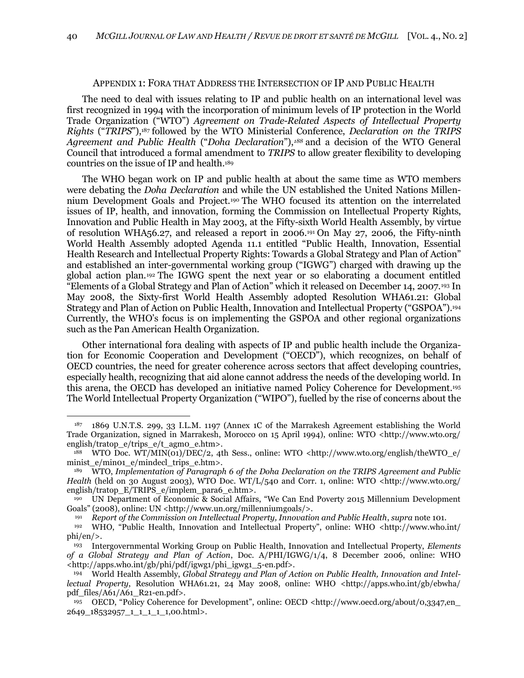#### APPENDIX 1: FORA THAT ADDRESS THE INTERSECTION OF IP AND PUBLIC HEALTH

<span id="page-37-0"></span>The need to deal with issues relating to IP and public health on an international level was first recognized in 1994 with the incorporation of minimum levels of IP protection in the World Trade Organization ("WTO") *Agreement on Trade-Related Aspects of Intellectual Property Rights* ("*TRIPS*"),<sup>187</sup> followed by the WTO Ministerial Conference, *Declaration on the TRIPS* Agreement and Public Health ("Doha Declaration"),<sup>188</sup> and a decision of the WTO General Council that introduced a formal amendment to *TRIPS* to allow greater flexibility to developing countries on the issue of IP and health.<sup>189</sup>

The WHO began work on IP and public health at about the same time as WTO members were debating the *Doha Declaration* and while the UN established the United Nations Millennium Development Goals and Project. <sup>190</sup> The WHO focused its attention on the interrelated issues of IP, health, and innovation, forming the Commission on Intellectual Property Rights, Innovation and Public Health in May 2003, at the Fifty-sixth World Health Assembly, by virtue of resolution WHA56.27, and released a report in 2006. <sup>191</sup> On May 27, 2006, the Fifty-ninth World Health Assembly adopted Agenda 11.1 entitled "Public Health, Innovation, Essential Health Research and Intellectual Property Rights: Towards a Global Strategy and Plan of Action" and established an inter-governmental working group ("IGWG") charged with drawing up the global action plan.<sup>192</sup> The IGWG spent the next year or so elaborating a document entitled ―Elements of a Global Strategy and Plan of Action‖ which it released on December 14, 2007.<sup>193</sup> In May 2008, the Sixty-first World Health Assembly adopted Resolution WHA61.21: Global Strategy and Plan of Action on Public Health, Innovation and Intellectual Property ("GSPOA").194 Currently, the WHO's focus is on implementing the GSPOA and other regional organizations such as the Pan American Health Organization.

Other international fora dealing with aspects of IP and public health include the Organization for Economic Cooperation and Development ("OECD"), which recognizes, on behalf of OECD countries, the need for greater coherence across sectors that affect developing countries, especially health, recognizing that aid alone cannot address the needs of the developing world. In this arena, the OECD has developed an initiative named Policy Coherence for Development. 195 The World Intellectual Property Organization ("WIPO"), fuelled by the rise of concerns about the

<sup>187</sup> 1869 U.N.T.S. 299, 33 I.L.M. 1197 (Annex 1C of the Marrakesh Agreement establishing the World Trade Organization, signed in Marrakesh, Morocco on 15 April 1994), online: WTO <http://www.wto.org/ english/tratop\_e/trips\_e/t\_agm0\_e.htm>.

<sup>188</sup> WTO Doc. WT/MIN(01)/DEC/2, 4th Sess., online: WTO <http://www.wto.org/english/theWTO\_e/ minist\_e/min01\_e/mindecl\_trips\_e.htm>.

<sup>189</sup> WTO, *Implementation of Paragraph 6 of the Doha Declaration on the TRIPS Agreement and Public Health* (held on 30 August 2003), WTO Doc. WT/L/540 and Corr. 1, online: WTO <http://www.wto.org/ english/tratop\_E/TRIPS\_e/implem\_para6\_e.htm>.

<sup>&</sup>lt;sup>190</sup> UN Department of Economic & Social Affairs, "We Can End Poverty 2015 Millennium Development Goals" (2008), online: UN <http://www.un.org/millenniumgoals/>.

<sup>191</sup> *Report of the Commission on Intellectual Property, Innovation and Public Health*, *supra* not[e 101.](#page-20-0)

<sup>&</sup>lt;sup>192</sup> WHO, "Public Health, Innovation and Intellectual Property", online: WHO <http://www.who.int/ phi/en/>.

<sup>193</sup> Intergovernmental Working Group on Public Health, Innovation and Intellectual Property, *Elements of a Global Strategy and Plan of Action*, Doc. A/PHI/IGWG/1/4, 8 December 2006, online: WHO <http://apps.who.int/gb/phi/pdf/igwg1/phi\_igwg1\_5-en.pdf>.

<sup>194</sup> World Health Assembly, *Global Strategy and Plan of Action on Public Health, Innovation and Intellectual Property*, Resolution WHA61.21, 24 May 2008, online: WHO <http://apps.who.int/gb/ebwha/ pdf\_files/A61/A61\_R21-en.pdf>.

<sup>&</sup>lt;sup>195</sup> OECD, "Policy Coherence for Development", online: OECD <http://www.oecd.org/about/0,3347,en\_ 2649\_18532957\_1\_1\_1\_1\_1,00.html>.